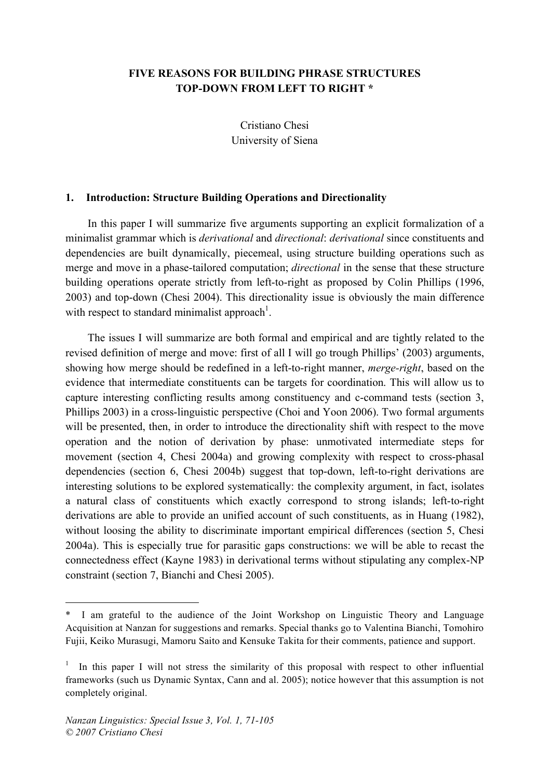## **FIVE REASONS FOR BUILDING PHRASE STRUCTURES TOP-DOWN FROM LEFT TO RIGHT \***

Cristiano Chesi University of Siena

#### **1. Introduction: Structure Building Operations and Directionality**

In this paper I will summarize five arguments supporting an explicit formalization of a minimalist grammar which is *derivational* and *directional*: *derivational* since constituents and dependencies are built dynamically, piecemeal, using structure building operations such as merge and move in a phase-tailored computation; *directional* in the sense that these structure building operations operate strictly from left-to-right as proposed by Colin Phillips (1996, 2003) and top-down (Chesi 2004). This directionality issue is obviously the main difference with respect to standard minimalist approach<sup>1</sup>.

The issues I will summarize are both formal and empirical and are tightly related to the revised definition of merge and move: first of all I will go trough Phillips' (2003) arguments, showing how merge should be redefined in a left-to-right manner, *merge-right*, based on the evidence that intermediate constituents can be targets for coordination. This will allow us to capture interesting conflicting results among constituency and c-command tests (section 3, Phillips 2003) in a cross-linguistic perspective (Choi and Yoon 2006). Two formal arguments will be presented, then, in order to introduce the directionality shift with respect to the move operation and the notion of derivation by phase: unmotivated intermediate steps for movement (section 4, Chesi 2004a) and growing complexity with respect to cross-phasal dependencies (section 6, Chesi 2004b) suggest that top-down, left-to-right derivations are interesting solutions to be explored systematically: the complexity argument, in fact, isolates a natural class of constituents which exactly correspond to strong islands; left-to-right derivations are able to provide an unified account of such constituents, as in Huang (1982), without loosing the ability to discriminate important empirical differences (section 5, Chesi 2004a). This is especially true for parasitic gaps constructions: we will be able to recast the connectedness effect (Kayne 1983) in derivational terms without stipulating any complex-NP constraint (section 7, Bianchi and Chesi 2005).

 $\overline{a}$ 

<sup>\*</sup> I am grateful to the audience of the Joint Workshop on Linguistic Theory and Language Acquisition at Nanzan for suggestions and remarks. Special thanks go to Valentina Bianchi, Tomohiro Fujii, Keiko Murasugi, Mamoru Saito and Kensuke Takita for their comments, patience and support.

 $1$  In this paper I will not stress the similarity of this proposal with respect to other influential frameworks (such us Dynamic Syntax, Cann and al. 2005); notice however that this assumption is not completely original.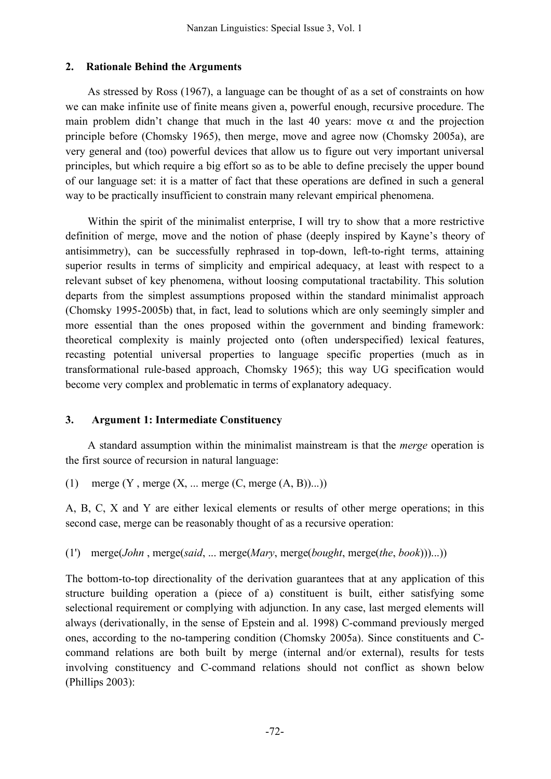## **2. Rationale Behind the Arguments**

As stressed by Ross (1967), a language can be thought of as a set of constraints on how we can make infinite use of finite means given a, powerful enough, recursive procedure. The main problem didn't change that much in the last 40 years: move  $\alpha$  and the projection principle before (Chomsky 1965), then merge, move and agree now (Chomsky 2005a), are very general and (too) powerful devices that allow us to figure out very important universal principles, but which require a big effort so as to be able to define precisely the upper bound of our language set: it is a matter of fact that these operations are defined in such a general way to be practically insufficient to constrain many relevant empirical phenomena.

Within the spirit of the minimalist enterprise, I will try to show that a more restrictive definition of merge, move and the notion of phase (deeply inspired by Kayne's theory of antisimmetry), can be successfully rephrased in top-down, left-to-right terms, attaining superior results in terms of simplicity and empirical adequacy, at least with respect to a relevant subset of key phenomena, without loosing computational tractability. This solution departs from the simplest assumptions proposed within the standard minimalist approach (Chomsky 1995-2005b) that, in fact, lead to solutions which are only seemingly simpler and more essential than the ones proposed within the government and binding framework: theoretical complexity is mainly projected onto (often underspecified) lexical features, recasting potential universal properties to language specific properties (much as in transformational rule-based approach, Chomsky 1965); this way UG specification would become very complex and problematic in terms of explanatory adequacy.

# **3. Argument 1: Intermediate Constituency**

A standard assumption within the minimalist mainstream is that the *merge* operation is the first source of recursion in natural language:

(1) merge  $(Y, \text{merge } (X, \dots \text{merge } (C, \text{merge } (A, B))...))$ 

A, B, C, X and Y are either lexical elements or results of other merge operations; in this second case, merge can be reasonably thought of as a recursive operation:

# (1') merge(*John* , merge(*said*, ... merge(*Mary*, merge(*bought*, merge(*the*, *book*)))...))

The bottom-to-top directionality of the derivation guarantees that at any application of this structure building operation a (piece of a) constituent is built, either satisfying some selectional requirement or complying with adjunction. In any case, last merged elements will always (derivationally, in the sense of Epstein and al. 1998) C-command previously merged ones, according to the no-tampering condition (Chomsky 2005a). Since constituents and Ccommand relations are both built by merge (internal and/or external), results for tests involving constituency and C-command relations should not conflict as shown below (Phillips 2003):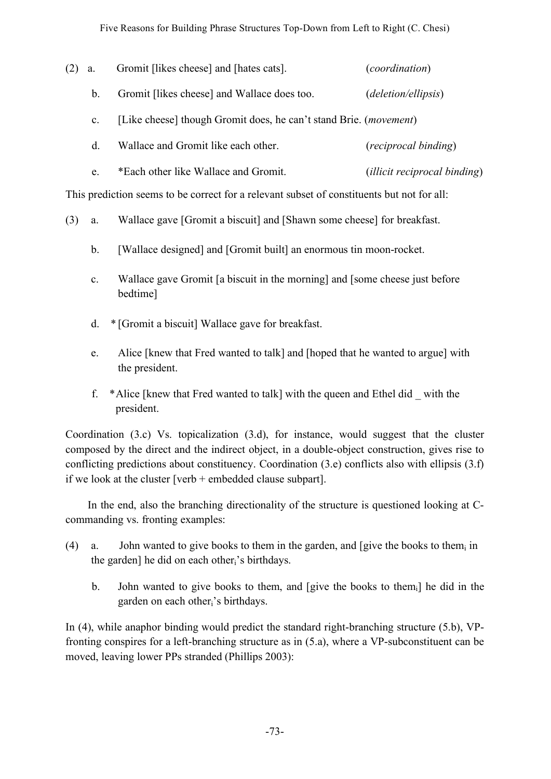(2) a. Gromit [likes cheese] and [hates cats]. (*coordination*) b. Gromit [likes cheese] and Wallace does too. (*deletion/ellipsis*) c. [Like cheese] though Gromit does, he can't stand Brie. (*movement*) d. Wallace and Gromit like each other. (*reciprocal binding*) e. \*Each other like Wallace and Gromit. (*illicit reciprocal binding*)

This prediction seems to be correct for a relevant subset of constituents but not for all:

- (3) a. Wallace gave [Gromit a biscuit] and [Shawn some cheese] for breakfast.
	- b. [Wallace designed] and [Gromit built] an enormous tin moon-rocket.
	- c. Wallace gave Gromit [a biscuit in the morning] and [some cheese just before bedtime]
	- d. \* [Gromit a biscuit] Wallace gave for breakfast.
	- e. Alice [knew that Fred wanted to talk] and [hoped that he wanted to argue] with the president.
	- f. \*Alice [knew that Fred wanted to talk] with the queen and Ethel did \_ with the president.

Coordination (3.c) Vs. topicalization (3.d), for instance, would suggest that the cluster composed by the direct and the indirect object, in a double-object construction, gives rise to conflicting predictions about constituency. Coordination (3.e) conflicts also with ellipsis (3.f) if we look at the cluster [verb + embedded clause subpart].

In the end, also the branching directionality of the structure is questioned looking at Ccommanding vs. fronting examples:

- (4) a. John wanted to give books to them in the garden, and [give the books to them<sub>i</sub> in the garden] he did on each other<sub>i</sub>'s birthdays.
	- b. John wanted to give books to them, and [give the books to them<sub>i</sub>] he did in the garden on each otheri's birthdays.

In (4), while anaphor binding would predict the standard right-branching structure (5.b), VPfronting conspires for a left-branching structure as in (5.a), where a VP-subconstituent can be moved, leaving lower PPs stranded (Phillips 2003):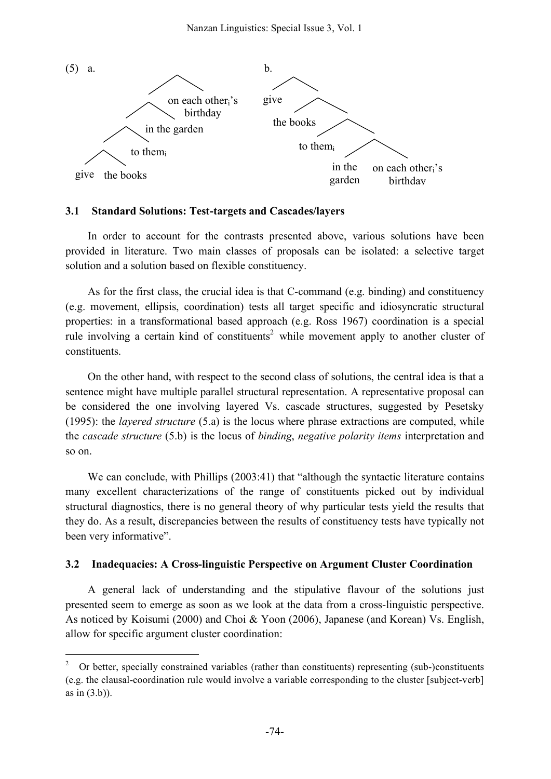

#### **3.1 Standard Solutions: Test-targets and Cascades/layers**

In order to account for the contrasts presented above, various solutions have been provided in literature. Two main classes of proposals can be isolated: a selective target solution and a solution based on flexible constituency.

As for the first class, the crucial idea is that C-command (e.g. binding) and constituency (e.g. movement, ellipsis, coordination) tests all target specific and idiosyncratic structural properties: in a transformational based approach (e.g. Ross 1967) coordination is a special rule involving a certain kind of constituents<sup>2</sup> while movement apply to another cluster of constituents.

On the other hand, with respect to the second class of solutions, the central idea is that a sentence might have multiple parallel structural representation. A representative proposal can be considered the one involving layered Vs. cascade structures, suggested by Pesetsky (1995): the *layered structure* (5.a) is the locus where phrase extractions are computed, while the *cascade structure* (5.b) is the locus of *binding*, *negative polarity items* interpretation and so on.

We can conclude, with Phillips (2003:41) that "although the syntactic literature contains many excellent characterizations of the range of constituents picked out by individual structural diagnostics, there is no general theory of why particular tests yield the results that they do. As a result, discrepancies between the results of constituency tests have typically not been very informative".

### **3.2 Inadequacies: A Cross-linguistic Perspective on Argument Cluster Coordination**

A general lack of understanding and the stipulative flavour of the solutions just presented seem to emerge as soon as we look at the data from a cross-linguistic perspective. As noticed by Koisumi (2000) and Choi & Yoon (2006), Japanese (and Korean) Vs. English, allow for specific argument cluster coordination:

 <sup>2</sup> Or better, specially constrained variables (rather than constituents) representing (sub-)constituents (e.g. the clausal-coordination rule would involve a variable corresponding to the cluster [subject-verb] as in (3.b)).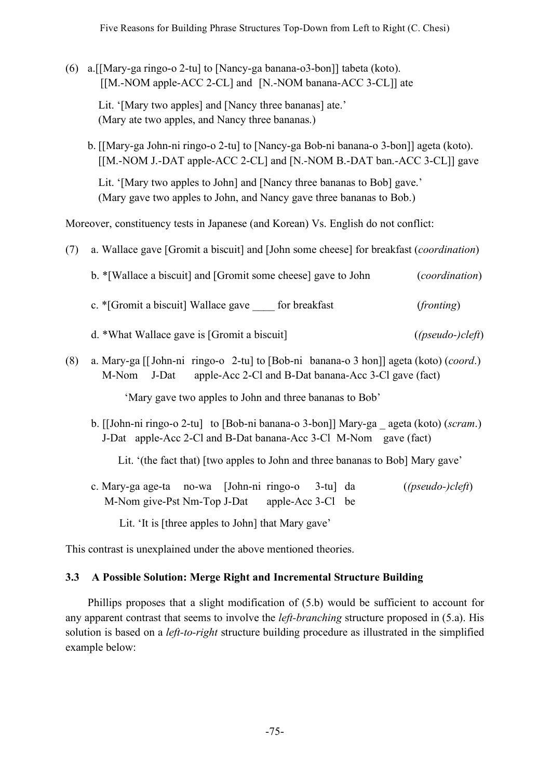(6) a.[[Mary-ga ringo-o 2-tu] to [Nancy-ga banana-o3-bon]] tabeta (koto). [[M.-NOM apple-ACC 2-CL] and [N.-NOM banana-ACC 3-CL]] ate

Lit. '[Mary two apples] and [Nancy three bananas] ate.' (Mary ate two apples, and Nancy three bananas.)

b. [[Mary-ga John-ni ringo-o 2-tu] to [Nancy-ga Bob-ni banana-o 3-bon]] ageta (koto). [[M.-NOM J.-DAT apple-ACC 2-CL] and [N.-NOM B.-DAT ban.-ACC 3-CL]] gave

Lit. '[Mary two apples to John] and [Nancy three bananas to Bob] gave.' (Mary gave two apples to John, and Nancy gave three bananas to Bob.)

Moreover, constituency tests in Japanese (and Korean) Vs. English do not conflict:

(7) a. Wallace gave [Gromit a biscuit] and [John some cheese] for breakfast (*coordination*)

b. \*[Wallace a biscuit] and [Gromit some cheese] gave to John (*coordination*)

- c. \*[Gromit a biscuit] Wallace gave \_\_\_\_ for breakfast (*fronting*)
- d. \*What Wallace gave is [Gromit a biscuit] (*(pseudo-)cleft*)
- (8) a. Mary-ga [[John-ni ringo-o 2-tu] to [Bob-ni banana-o 3 hon]] ageta (koto) (*coord*.) M-Nom J-Dat apple-Acc 2-Cl and B-Dat banana-Acc 3-Cl gave (fact)

'Mary gave two apples to John and three bananas to Bob'

b. [[John-ni ringo-o 2-tu] to [Bob-ni banana-o 3-bon]] Mary-ga \_ ageta (koto) (*scram*.) J-Dat apple-Acc 2-Cl and B-Dat banana-Acc 3-Cl M-Nom gave (fact)

Lit. '(the fact that) [two apples to John and three bananas to Bob] Mary gave'

c. Mary-ga age-ta no-wa [John-ni ringo-o 3-tu] da (*(pseudo-)cleft*) M-Nom give-Pst Nm-Top J-Dat apple-Acc 3-Cl be

Lit. 'It is [three apples to John] that Mary gave'

This contrast is unexplained under the above mentioned theories.

# **3.3 A Possible Solution: Merge Right and Incremental Structure Building**

Phillips proposes that a slight modification of (5.b) would be sufficient to account for any apparent contrast that seems to involve the *left-branching* structure proposed in (5.a). His solution is based on a *left-to-right* structure building procedure as illustrated in the simplified example below: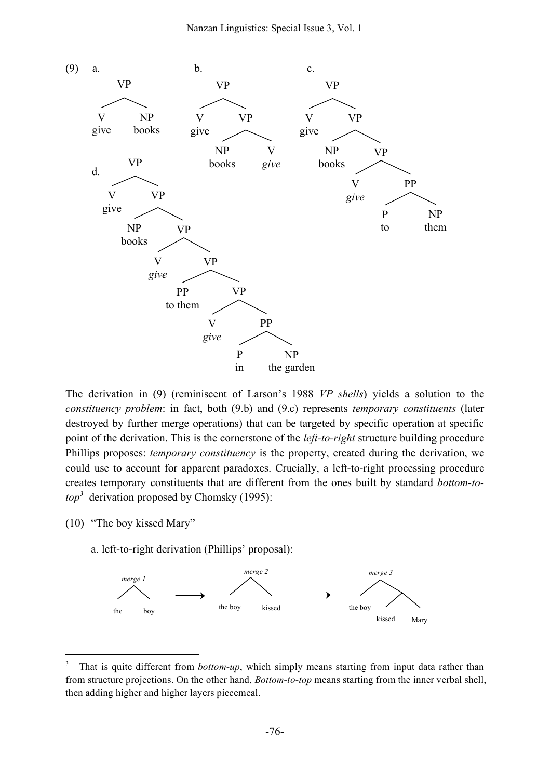

The derivation in (9) (reminiscent of Larson's 1988 *VP shells*) yields a solution to the *constituency problem*: in fact, both (9.b) and (9.c) represents *temporary constituents* (later destroyed by further merge operations) that can be targeted by specific operation at specific point of the derivation. This is the cornerstone of the *left-to-right* structure building procedure Phillips proposes: *temporary constituency* is the property, created during the derivation, we could use to account for apparent paradoxes. Crucially, a left-to-right processing procedure creates temporary constituents that are different from the ones built by standard *bottom-to* $top<sup>3</sup>$  derivation proposed by Chomsky (1995):

(10) "The boy kissed Mary"

a. left-to-right derivation (Phillips' proposal):



<sup>&</sup>lt;sup>3</sup> That is quite different from *bottom-up*, which simply means starting from input data rather than from structure projections. On the other hand, *Bottom-to-top* means starting from the inner verbal shell, then adding higher and higher layers piecemeal.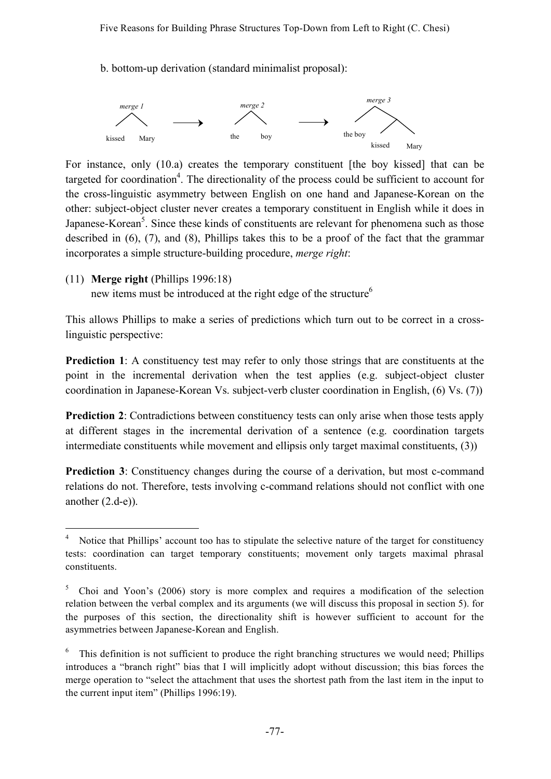b. bottom-up derivation (standard minimalist proposal):



For instance, only (10.a) creates the temporary constituent [the boy kissed] that can be targeted for coordination<sup>4</sup>. The directionality of the process could be sufficient to account for the cross-linguistic asymmetry between English on one hand and Japanese-Korean on the other: subject-object cluster never creates a temporary constituent in English while it does in Japanese-Korean<sup>5</sup>. Since these kinds of constituents are relevant for phenomena such as those described in (6), (7), and (8), Phillips takes this to be a proof of the fact that the grammar incorporates a simple structure-building procedure, *merge right*:

(11) **Merge right** (Phillips 1996:18)

new items must be introduced at the right edge of the structure<sup>6</sup>

This allows Phillips to make a series of predictions which turn out to be correct in a crosslinguistic perspective:

**Prediction** 1: A constituency test may refer to only those strings that are constituents at the point in the incremental derivation when the test applies (e.g. subject-object cluster coordination in Japanese-Korean Vs. subject-verb cluster coordination in English, (6) Vs. (7))

**Prediction 2:** Contradictions between constituency tests can only arise when those tests apply at different stages in the incremental derivation of a sentence (e.g. coordination targets intermediate constituents while movement and ellipsis only target maximal constituents, (3))

**Prediction 3:** Constituency changes during the course of a derivation, but most c-command relations do not. Therefore, tests involving c-command relations should not conflict with one another (2.d-e)).

Notice that Phillips' account too has to stipulate the selective nature of the target for constituency tests: coordination can target temporary constituents; movement only targets maximal phrasal constituents.

<sup>5</sup> Choi and Yoon's (2006) story is more complex and requires a modification of the selection relation between the verbal complex and its arguments (we will discuss this proposal in section 5). for the purposes of this section, the directionality shift is however sufficient to account for the asymmetries between Japanese-Korean and English.

This definition is not sufficient to produce the right branching structures we would need; Phillips introduces a "branch right" bias that I will implicitly adopt without discussion; this bias forces the merge operation to "select the attachment that uses the shortest path from the last item in the input to the current input item" (Phillips 1996:19).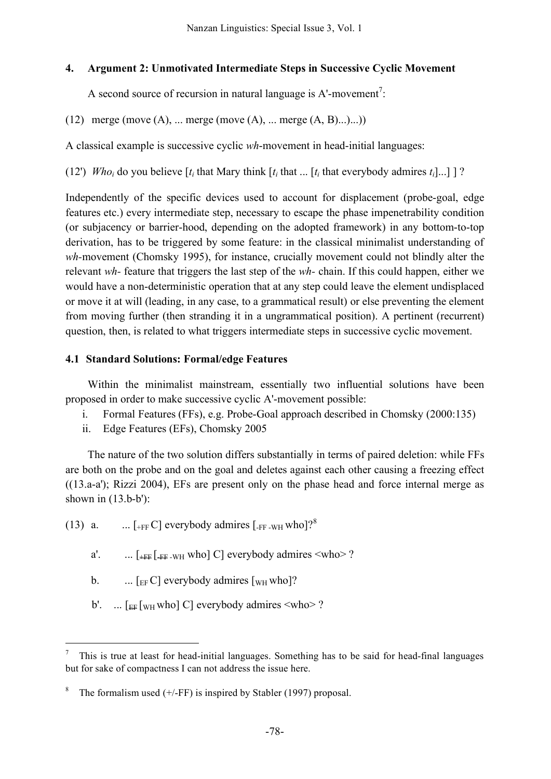## **4. Argument 2: Unmotivated Intermediate Steps in Successive Cyclic Movement**

A second source of recursion in natural language is  $A'$ -movement<sup>7</sup>:

(12) merge (move  $(A)$ , ... merge (move  $(A)$ , ... merge  $(A, B)$ ...)...))

A classical example is successive cyclic *wh*-movement in head-initial languages:

(12') *Who<sub>i</sub>* do you believe  $[t_i$  that Mary think  $[t_i$  that ...  $[t_i]$  that everybody admires  $t_i$ ...] ?

Independently of the specific devices used to account for displacement (probe-goal, edge features etc.) every intermediate step, necessary to escape the phase impenetrability condition (or subjacency or barrier-hood, depending on the adopted framework) in any bottom-to-top derivation, has to be triggered by some feature: in the classical minimalist understanding of *wh-*movement (Chomsky 1995), for instance, crucially movement could not blindly alter the relevant *wh-* feature that triggers the last step of the *wh-* chain. If this could happen, either we would have a non-deterministic operation that at any step could leave the element undisplaced or move it at will (leading, in any case, to a grammatical result) or else preventing the element from moving further (then stranding it in a ungrammatical position). A pertinent (recurrent) question, then, is related to what triggers intermediate steps in successive cyclic movement.

## **4.1 Standard Solutions: Formal/edge Features**

Within the minimalist mainstream, essentially two influential solutions have been proposed in order to make successive cyclic A'-movement possible:

- i. Formal Features (FFs), e.g. Probe-Goal approach described in Chomsky (2000:135)
- ii. Edge Features (EFs), Chomsky 2005

The nature of the two solution differs substantially in terms of paired deletion: while FFs are both on the probe and on the goal and deletes against each other causing a freezing effect ((13.a-a'); Rizzi 2004), EFs are present only on the phase head and force internal merge as shown in (13.b-b'):

- (13) a.  $\ldots$  [+FF C] everybody admires [-FF -WH who]?<sup>8</sup>
	- a'.  $\ldots$   $[+FF]$   $[+FF]$  who  $]$   $C$  everybody admires  $\langle$ who  $\rangle$  ?
	- b.  $\ldots$  [EFC] everybody admires [WH who]?
	- b'. ...  $\lceil \frac{F_F}{W_H} \text{who} \rceil$  C everybody admires  $\leq$  who  $\geq$  ?

 <sup>7</sup> This is true at least for head-initial languages. Something has to be said for head-final languages but for sake of compactness I can not address the issue here.

The formalism used  $(+/$ -FF) is inspired by Stabler (1997) proposal.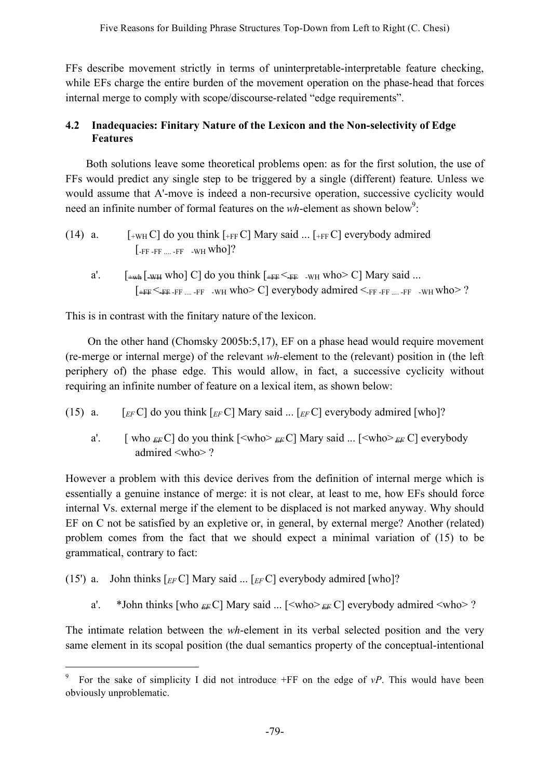FFs describe movement strictly in terms of uninterpretable-interpretable feature checking, while EFs charge the entire burden of the movement operation on the phase-head that forces internal merge to comply with scope/discourse-related "edge requirements".

# **4.2 Inadequacies: Finitary Nature of the Lexicon and the Non-selectivity of Edge Features**

Both solutions leave some theoretical problems open: as for the first solution, the use of FFs would predict any single step to be triggered by a single (different) feature. Unless we would assume that A'-move is indeed a non-recursive operation, successive cyclicity would need an infinite number of formal features on the *wh*-element as shown below<sup>9</sup>:

- (14) a.  $[-W_H C]$  do you think  $[-FF]$  Mary said ...  $[-FF]$  everybody admired  $[-FF - FF - FF - WH$  who]?
	- a'.  $\left[ \begin{array}{cc} \frac{1}{2} & \frac{1}{2} \\ \frac{1}{2} & \frac{1}{2} \end{array} \right]$  who  $\left[ \begin{array}{cc} C & \text{if } C \\ \text{if } C \end{array} \right]$  do you think  $\left[ \begin{array}{cc} \frac{1}{2} & \text{if } C \\ \frac{1}{2} & \text{if } C \end{array} \right]$  who  $\left[ \begin{array}{cc} C & \text{if } C \\ \text{if } C \end{array} \right]$  $[+FF <_{FF-FF}$   $...$  -FF -WH Who  $\geq C$  everybody admired  $\leq_{FF-FF}$   $...$  -FF -WH Who  $> ?$

This is in contrast with the finitary nature of the lexicon.

On the other hand (Chomsky 2005b:5,17), EF on a phase head would require movement (re-merge or internal merge) of the relevant *wh-*element to the (relevant) position in (the left periphery of) the phase edge. This would allow, in fact, a successive cyclicity without requiring an infinite number of feature on a lexical item, as shown below:

- (15) a.  $[EF]$  do you think  $[EF]$  Mary said ...  $[EF]$  everybody admired [who]?
	- a'. [ who  $_{EF}C$ ] do you think  $\left[ \langle \text{who} \rangle_{EF}C \right]$  Mary said ...  $\left[ \langle \text{who} \rangle_{EF}C \right]$  everybody admired <who> ?

However a problem with this device derives from the definition of internal merge which is essentially a genuine instance of merge: it is not clear, at least to me, how EFs should force internal Vs. external merge if the element to be displaced is not marked anyway. Why should EF on C not be satisfied by an expletive or, in general, by external merge? Another (related) problem comes from the fact that we should expect a minimal variation of (15) to be grammatical, contrary to fact:

```
(15') a. John thinks \lceil_{EF} C \rceil Mary said ... \lceil_{EF} C \rceil everybody admired [who]?
```
a'. \*John thinks [who  $_{EF}C$ ] Mary said ... [<who> $_{EF}C$ ] everybody admired <who>?

The intimate relation between the *wh*-element in its verbal selected position and the very same element in its scopal position (the dual semantics property of the conceptual-intentional

 <sup>9</sup> For the sake of simplicity I did not introduce +FF on the edge of *vP*. This would have been obviously unproblematic.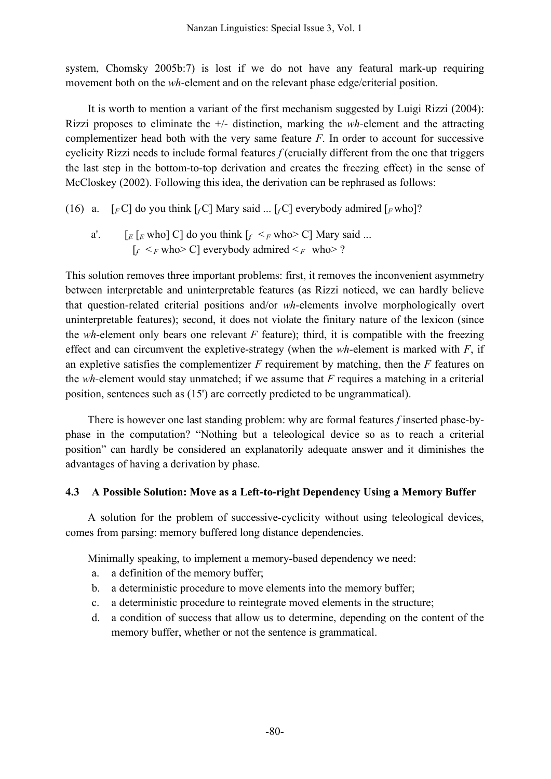system, Chomsky 2005b:7) is lost if we do not have any featural mark-up requiring movement both on the *wh*-element and on the relevant phase edge/criterial position.

It is worth to mention a variant of the first mechanism suggested by Luigi Rizzi (2004): Rizzi proposes to eliminate the +/- distinction, marking the *wh-*element and the attracting complementizer head both with the very same feature *F*. In order to account for successive cyclicity Rizzi needs to include formal features *f* (crucially different from the one that triggers the last step in the bottom-to-top derivation and creates the freezing effect) in the sense of McCloskey (2002). Following this idea, the derivation can be rephrased as follows:

- (16) a.  $\lceil$  *FC* $\rceil$  do you think  $\lceil$  *fC* $\rceil$  Mary said ...  $\lceil$  *fC* $\rceil$  everybody admired  $\lceil$  *F* who<sup> $\rceil$ ?</sup>
	- a'.  $\left[ F \left[ F \text{ who} \right] C \right]$  do you think  $\left[ f \leq_F \text{ who} \geq C \right]$  Mary said ...  $\lceil f \rceil \leq F$  who  $\geq C$  everybody admired  $\leq F$  who  $\geq$  ?

This solution removes three important problems: first, it removes the inconvenient asymmetry between interpretable and uninterpretable features (as Rizzi noticed, we can hardly believe that question-related criterial positions and/or *wh*-elements involve morphologically overt uninterpretable features); second, it does not violate the finitary nature of the lexicon (since the *wh*-element only bears one relevant *F* feature); third, it is compatible with the freezing effect and can circumvent the expletive-strategy (when the *wh-*element is marked with *F*, if an expletive satisfies the complementizer *F* requirement by matching, then the *F* features on the *wh-*element would stay unmatched; if we assume that *F* requires a matching in a criterial position, sentences such as (15') are correctly predicted to be ungrammatical).

There is however one last standing problem: why are formal features *f* inserted phase-byphase in the computation? "Nothing but a teleological device so as to reach a criterial position" can hardly be considered an explanatorily adequate answer and it diminishes the advantages of having a derivation by phase.

# **4.3 A Possible Solution: Move as a Left-to-right Dependency Using a Memory Buffer**

A solution for the problem of successive-cyclicity without using teleological devices, comes from parsing: memory buffered long distance dependencies.

Minimally speaking, to implement a memory-based dependency we need:

- a. a definition of the memory buffer;
- b. a deterministic procedure to move elements into the memory buffer;
- c. a deterministic procedure to reintegrate moved elements in the structure;
- d. a condition of success that allow us to determine, depending on the content of the memory buffer, whether or not the sentence is grammatical.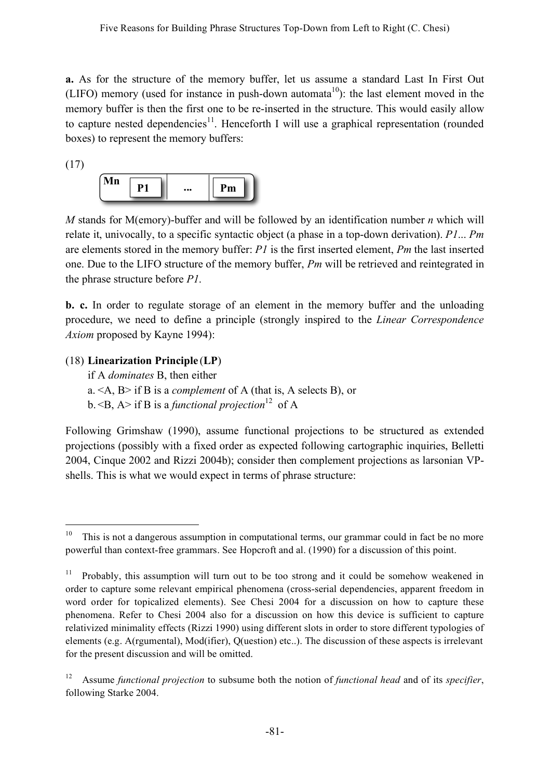**a.** As for the structure of the memory buffer, let us assume a standard Last In First Out (LIFO) memory (used for instance in push-down automata<sup>10</sup>): the last element moved in the memory buffer is then the first one to be re-inserted in the structure. This would easily allow to capture nested dependencies<sup>11</sup>. Henceforth I will use a graphical representation (rounded boxes) to represent the memory buffers:

(17)



*M* stands for M(emory)-buffer and will be followed by an identification number *n* which will relate it, univocally, to a specific syntactic object (a phase in a top-down derivation). *P1*... *Pm* are elements stored in the memory buffer: *P1* is the first inserted element, *Pm* the last inserted one. Due to the LIFO structure of the memory buffer, *Pm* will be retrieved and reintegrated in the phrase structure before *P1*.

**b. c.** In order to regulate storage of an element in the memory buffer and the unloading procedure, we need to define a principle (strongly inspired to the *Linear Correspondence Axiom* proposed by Kayne 1994):

### (18) **Linearization Principle** (**LP**)

if A *dominates* B, then either a. <A, B> if B is a *complement* of A (that is, A selects B), or

b. <B, A> if B is a *functional projection* <sup>12</sup> of A

Following Grimshaw (1990), assume functional projections to be structured as extended projections (possibly with a fixed order as expected following cartographic inquiries, Belletti 2004, Cinque 2002 and Rizzi 2004b); consider then complement projections as larsonian VPshells. This is what we would expect in terms of phrase structure:

 $10$  This is not a dangerous assumption in computational terms, our grammar could in fact be no more powerful than context-free grammars. See Hopcroft and al. (1990) for a discussion of this point.

<sup>11</sup> Probably, this assumption will turn out to be too strong and it could be somehow weakened in order to capture some relevant empirical phenomena (cross-serial dependencies, apparent freedom in word order for topicalized elements). See Chesi 2004 for a discussion on how to capture these phenomena. Refer to Chesi 2004 also for a discussion on how this device is sufficient to capture relativized minimality effects (Rizzi 1990) using different slots in order to store different typologies of elements (e.g. A(rgumental), Mod(ifier), Q(uestion) etc..). The discussion of these aspects is irrelevant for the present discussion and will be omitted.

<sup>12</sup> Assume *functional projection* to subsume both the notion of *functional head* and of its *specifier*, following Starke 2004.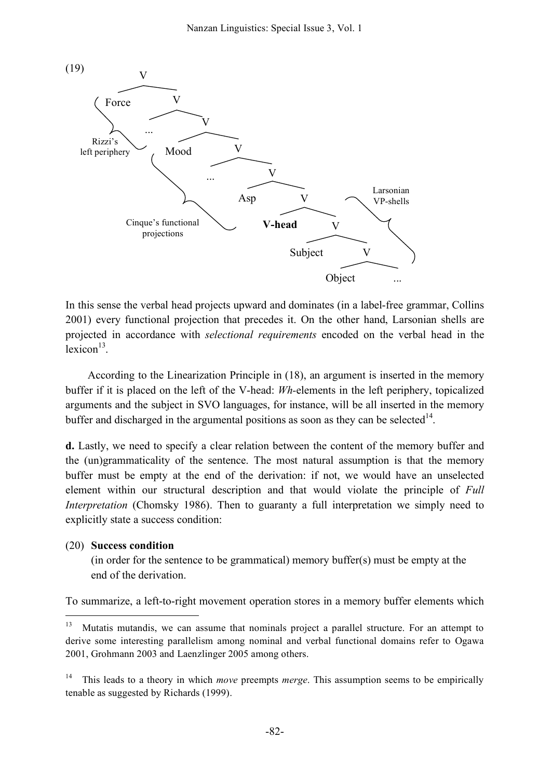

In this sense the verbal head projects upward and dominates (in a label-free grammar, Collins 2001) every functional projection that precedes it. On the other hand, Larsonian shells are projected in accordance with *selectional requirements* encoded on the verbal head in the lexicon<sup>13</sup>.

According to the Linearization Principle in (18), an argument is inserted in the memory buffer if it is placed on the left of the V-head: *Wh-*elements in the left periphery, topicalized arguments and the subject in SVO languages, for instance, will be all inserted in the memory buffer and discharged in the argumental positions as soon as they can be selected $14$ .

**d.** Lastly, we need to specify a clear relation between the content of the memory buffer and the (un)grammaticality of the sentence. The most natural assumption is that the memory buffer must be empty at the end of the derivation: if not, we would have an unselected element within our structural description and that would violate the principle of *Full Interpretation* (Chomsky 1986). Then to guaranty a full interpretation we simply need to explicitly state a success condition:

#### (20) **Success condition**

(in order for the sentence to be grammatical) memory buffer(s) must be empty at the end of the derivation.

To summarize, a left-to-right movement operation stores in a memory buffer elements which

<sup>&</sup>lt;sup>13</sup> Mutatis mutandis, we can assume that nominals project a parallel structure. For an attempt to derive some interesting parallelism among nominal and verbal functional domains refer to Ogawa 2001, Grohmann 2003 and Laenzlinger 2005 among others.

<sup>14</sup> This leads to a theory in which *move* preempts *merge*. This assumption seems to be empirically tenable as suggested by Richards (1999).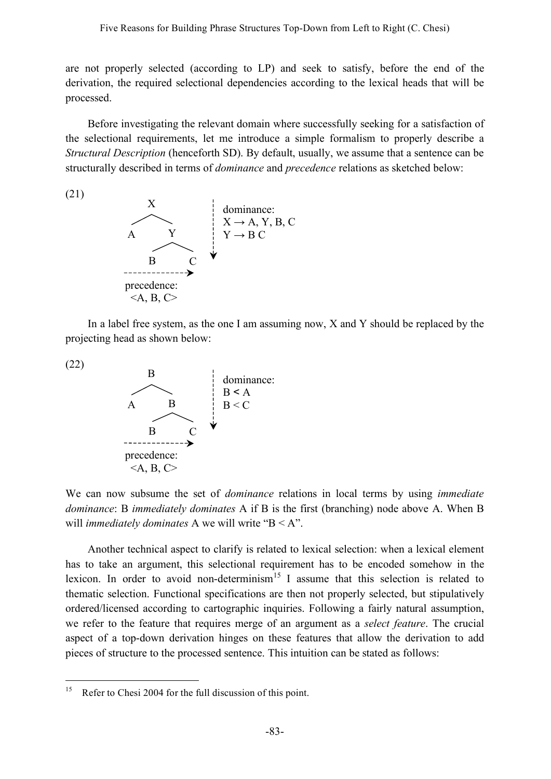are not properly selected (according to LP) and seek to satisfy, before the end of the derivation, the required selectional dependencies according to the lexical heads that will be processed.

Before investigating the relevant domain where successfully seeking for a satisfaction of the selectional requirements, let me introduce a simple formalism to properly describe a *Structural Description* (henceforth SD). By default, usually, we assume that a sentence can be structurally described in terms of *dominance* and *precedence* relations as sketched below:

(21)



In a label free system, as the one I am assuming now, X and Y should be replaced by the projecting head as shown below:

(22)



We can now subsume the set of *dominance* relations in local terms by using *immediate dominance*: B *immediately dominates* A if B is the first (branching) node above A. When B will *immediately dominates* A we will write "B < A".

Another technical aspect to clarify is related to lexical selection: when a lexical element has to take an argument, this selectional requirement has to be encoded somehow in the lexicon. In order to avoid non-determinism<sup>15</sup> I assume that this selection is related to thematic selection. Functional specifications are then not properly selected, but stipulatively ordered/licensed according to cartographic inquiries. Following a fairly natural assumption, we refer to the feature that requires merge of an argument as a *select feature*. The crucial aspect of a top-down derivation hinges on these features that allow the derivation to add pieces of structure to the processed sentence. This intuition can be stated as follows:

<sup>&</sup>lt;sup>15</sup> Refer to Chesi 2004 for the full discussion of this point.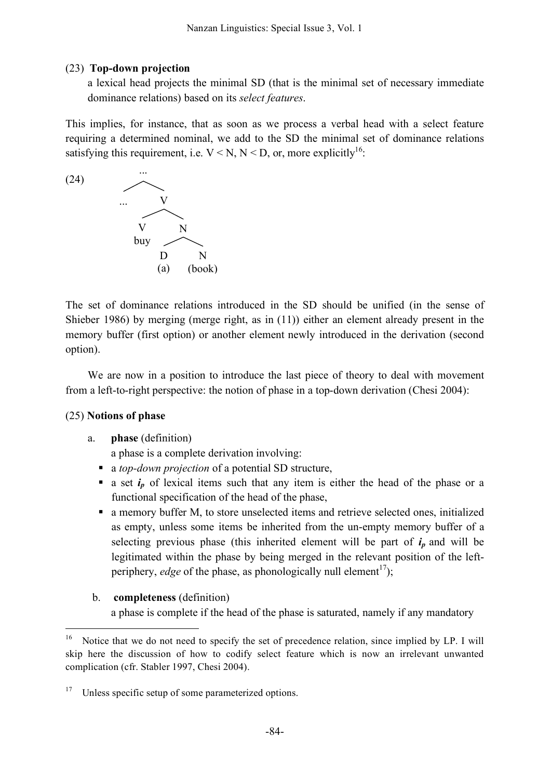# (23) **Top-down projection**

a lexical head projects the minimal SD (that is the minimal set of necessary immediate dominance relations) based on its *select features*.

This implies, for instance, that as soon as we process a verbal head with a select feature requiring a determined nominal, we add to the SD the minimal set of dominance relations satisfying this requirement, i.e.  $V < N$ ,  $N < D$ , or, more explicitly<sup>16</sup>.



The set of dominance relations introduced in the SD should be unified (in the sense of Shieber 1986) by merging (merge right, as in (11)) either an element already present in the memory buffer (first option) or another element newly introduced in the derivation (second option).

We are now in a position to introduce the last piece of theory to deal with movement from a left-to-right perspective: the notion of phase in a top-down derivation (Chesi 2004):

# (25) **Notions of phase**

# a. **phase** (definition)

a phase is a complete derivation involving:

- a *top-down projection* of a potential SD structure,
- a set  $i_p$  of lexical items such that any item is either the head of the phase or a functional specification of the head of the phase,
- a memory buffer M, to store unselected items and retrieve selected ones, initialized as empty, unless some items be inherited from the un-empty memory buffer of a selecting previous phase (this inherited element will be part of  $i_p$  and will be legitimated within the phase by being merged in the relevant position of the leftperiphery, *edge* of the phase, as phonologically null element<sup>17</sup>);
- b. **completeness** (definition) a phase is complete if the head of the phase is saturated, namely if any mandatory

<sup>&</sup>lt;sup>16</sup> Notice that we do not need to specify the set of precedence relation, since implied by LP. I will skip here the discussion of how to codify select feature which is now an irrelevant unwanted complication (cfr. Stabler 1997, Chesi 2004).

 $17$  Unless specific setup of some parameterized options.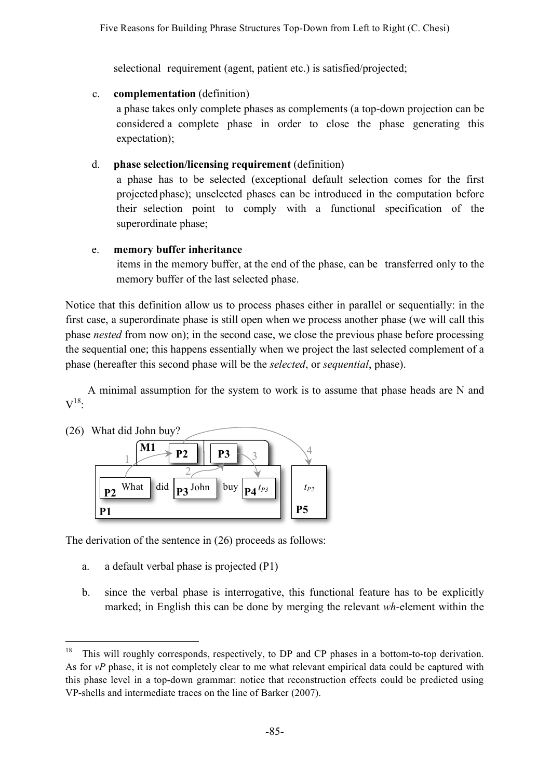selectional requirement (agent, patient etc.) is satisfied/projected;

## c. **complementation** (definition)

a phase takes only complete phases as complements (a top-down projection can be considered a complete phase in order to close the phase generating this expectation);

# d. **phase selection/licensing requirement** (definition)

a phase has to be selected (exceptional default selection comes for the first projected phase); unselected phases can be introduced in the computation before their selection point to comply with a functional specification of the superordinate phase;

## e. **memory buffer inheritance**

items in the memory buffer, at the end of the phase, can be transferred only to the memory buffer of the last selected phase.

Notice that this definition allow us to process phases either in parallel or sequentially: in the first case, a superordinate phase is still open when we process another phase (we will call this phase *nested* from now on); in the second case, we close the previous phase before processing the sequential one; this happens essentially when we project the last selected complement of a phase (hereafter this second phase will be the *selected*, or *sequential*, phase).

A minimal assumption for the system to work is to assume that phase heads are N and  $\rm V^{18}$ :



The derivation of the sentence in (26) proceeds as follows: **ix)**

- a. a default verbal phase is projected (P1)
- b. since the verbal phase is interrogative, this functional feature has to be explicitly marked; in English this can be done by merging the relevant *wh*-element within the

<sup>&</sup>lt;sup>18</sup> This will roughly corresponds, respectively, to DP and CP phases in a bottom-to-top derivation. As for *vP* phase, it is not completely clear to me what relevant empirical data could be captured with this phase level in a top-down grammar: notice that reconstruction effects could be predicted using VP-shells and intermediate traces on the line of Barker (2007).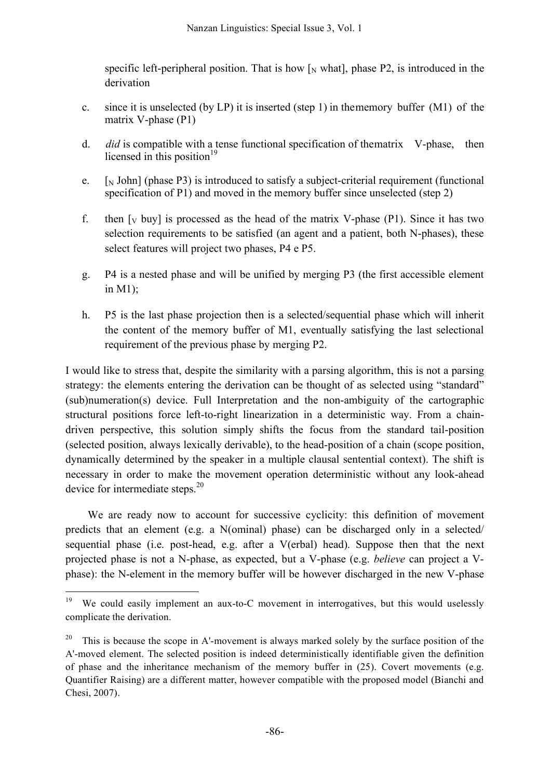specific left-peripheral position. That is how  $\lceil N \text{ what } \rceil$ , phase P2, is introduced in the derivation

- c. since it is unselected (by LP) it is inserted (step 1) in thememory buffer (M1) of the matrix V-phase (P1)
- d. *did* is compatible with a tense functional specification of thematrix V-phase, then licensed in this position<sup>19</sup>
- e.  $\lceil N \rceil$  John] (phase P3) is introduced to satisfy a subject-criterial requirement (functional specification of P1) and moved in the memory buffer since unselected (step 2)
- f. then  $\lceil v \text{ buy} \rceil$  is processed as the head of the matrix V-phase (P1). Since it has two selection requirements to be satisfied (an agent and a patient, both N-phases), these select features will project two phases, P4 e P5.
- g. P4 is a nested phase and will be unified by merging P3 (the first accessible element in M1);
- h. P5 is the last phase projection then is a selected/sequential phase which will inherit the content of the memory buffer of M1, eventually satisfying the last selectional requirement of the previous phase by merging P2.

I would like to stress that, despite the similarity with a parsing algorithm, this is not a parsing strategy: the elements entering the derivation can be thought of as selected using "standard" (sub)numeration(s) device. Full Interpretation and the non-ambiguity of the cartographic structural positions force left-to-right linearization in a deterministic way. From a chaindriven perspective, this solution simply shifts the focus from the standard tail-position (selected position, always lexically derivable), to the head-position of a chain (scope position, dynamically determined by the speaker in a multiple clausal sentential context). The shift is necessary in order to make the movement operation deterministic without any look-ahead device for intermediate steps.<sup>20</sup>

We are ready now to account for successive cyclicity: this definition of movement predicts that an element (e.g. a N(ominal) phase) can be discharged only in a selected/ sequential phase (i.e. post-head, e.g. after a V(erbal) head). Suppose then that the next projected phase is not a N-phase, as expected, but a V-phase (e.g. *believe* can project a Vphase): the N-element in the memory buffer will be however discharged in the new V-phase

<sup>&</sup>lt;sup>19</sup> We could easily implement an aux-to-C movement in interrogatives, but this would uselessly complicate the derivation.

<sup>20</sup> This is because the scope in A'-movement is always marked solely by the surface position of the A'-moved element. The selected position is indeed deterministically identifiable given the definition of phase and the inheritance mechanism of the memory buffer in  $(25)$ . Covert movements (e.g. Quantifier Raising) are a different matter, however compatible with the proposed model (Bianchi and Chesi, 2007).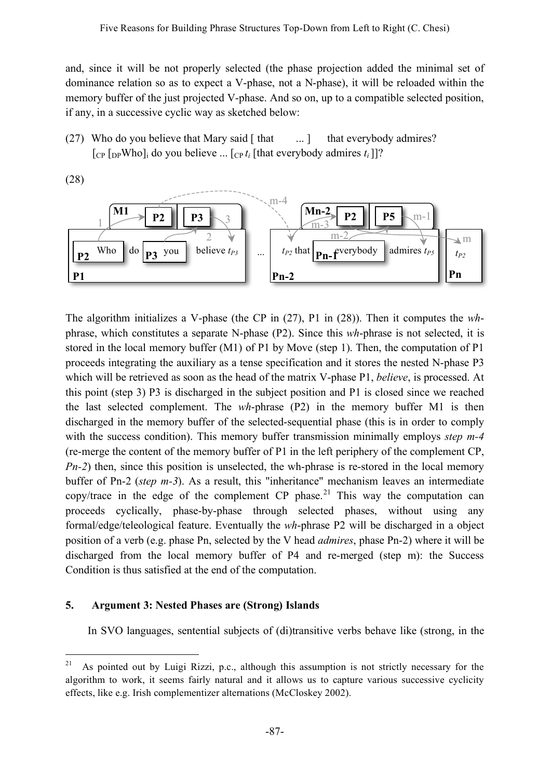and, since it will be not properly selected (the phase projection added the minimal set of dominance relation so as to expect a V-phase, not a N-phase), it will be reloaded within the memory buffer of the just projected V-phase. And so on, up to a compatible selected position, if any, in a successive cyclic way as sketched below:

(27) Who do you believe that Mary said  $\lceil \text{that} \rceil$  ... ] that everybody admires?  $\begin{bmatrix}$  [cp  $\begin{bmatrix}$  [ppWho]<sub>i</sub> do you believe ...  $\begin{bmatrix} cpt_i \end{bmatrix}$  [that everybody admires  $t_i$ ]]?



The algorithm initializes a V-phase (the CP in (27), P1 in (28)). Then it computes the *wh*phrase, which constitutes a separate N-phase (P2). Since this *wh*-phrase is not selected, it is stored in the local memory buffer (M1) of P1 by Move (step 1). Then, the computation of P1 proceeds integrating the auxiliary as a tense specification and it stores the nested N-phase P3 which will be retrieved as soon as the head of the matrix V-phase P1, *believe*, is processed. At this point (step 3) P3 is discharged in the subject position and P1 is closed since we reached the last selected complement. The *wh*-phrase (P2) in the memory buffer M1 is then discharged in the memory buffer of the selected-sequential phase (this is in order to comply with the success condition). This memory buffer transmission minimally employs *step m-4* (re-merge the content of the memory buffer of P1 in the left periphery of the complement CP, *Pn-2*) then, since this position is unselected, the wh-phrase is re-stored in the local memory buffer of Pn-2 (*step m-3*). As a result, this "inheritance" mechanism leaves an intermediate copy/trace in the edge of the complement CP phase.<sup>21</sup> This way the computation can proceeds cyclically, phase-by-phase through selected phases, without using any formal/edge/teleological feature. Eventually the *wh*-phrase P2 will be discharged in a object position of a verb (e.g. phase Pn, selected by the V head *admires*, phase Pn-2) where it will be discharged from the local memory buffer of P4 and re-merged (step m): the Success Condition is thus satisfied at the end of the computation.

# **5. Argument 3: Nested Phases are (Strong) Islands**

In SVO languages, sentential subjects of (di)transitive verbs behave like (strong, in the

<sup>&</sup>lt;sup>21</sup> As pointed out by Luigi Rizzi, p.c., although this assumption is not strictly necessary for the algorithm to work, it seems fairly natural and it allows us to capture various successive cyclicity effects, like e.g. Irish complementizer alternations (McCloskey 2002).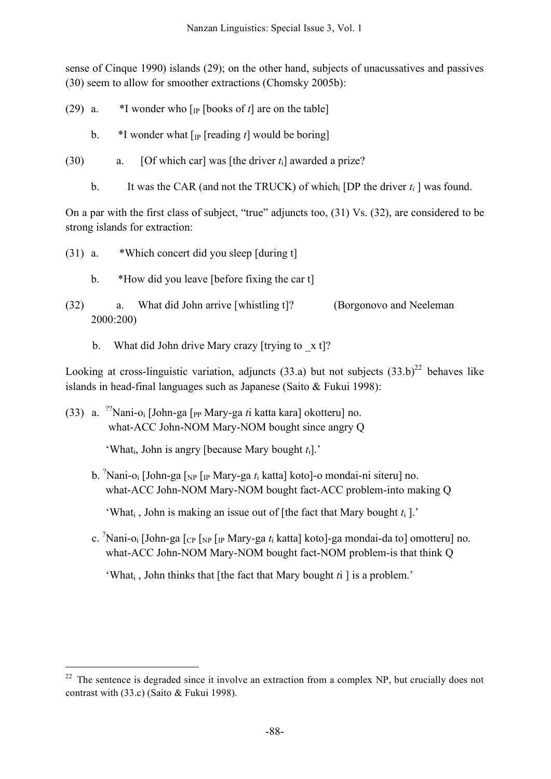sense of Cinque 1990) islands (29); on the other hand, subjects of unacussatives and passives (30) seem to allow for smoother extractions (Chomsky 2005b):

- (29) a.  $*I$  wonder who  $\lceil P \rceil$  books of *t* $\lceil$  are on the table
	- b.  $*$ I wonder what  $\lceil p \rceil$  reading *t* would be boring
- (30) a. [Of which car] was [the driver *t*i] awarded a prize?
	- b. It was the CAR (and not the TRUCK) of which [DP the driver  $t_i$ ] was found.

On a par with the first class of subject, "true" adjuncts too, (31) Vs. (32), are considered to be strong islands for extraction:

- (31) a. \*Which concert did you sleep [during t]
	- b. \*How did you leave [before fixing the car t]
- (32) a. What did John arrive [whistling t]? (Borgonovo and Neeleman 2000:200)
	- b. What did John drive Mary crazy [trying to  $x$  t]?

Looking at cross-linguistic variation, adjuncts (33.a) but not subjects  $(33.b)^{22}$  behaves like islands in head-final languages such as Japanese (Saito & Fukui 1998):

(33) a. ?? Nani-oi [John-ga [PP Mary-ga *t*i katta kara] okotteru] no. what-ACC John-NOM Mary-NOM bought since angry Q

'Whati, John is angry [because Mary bought *t*i].'

b. ? Nani-oi [John-ga [NP [IP Mary-ga *t*<sup>i</sup> katta] koto]-o mondai-ni siteru] no. what-ACC John-NOM Mary-NOM bought fact-ACC problem-into making Q

'What<sub>i</sub>, John is making an issue out of [the fact that Mary bought  $t_i$ ].'

c. ? Nani-oi [John-ga [CP [NP [IP Mary-ga *t*<sup>i</sup> katta] koto]-ga mondai-da to] omotteru] no. what-ACC John-NOM Mary-NOM bought fact-NOM problem-is that think Q

'Whati , John thinks that [the fact that Mary bought *t*i ] is a problem.'

 $22$  The sentence is degraded since it involve an extraction from a complex NP, but crucially does not contrast with (33.c) (Saito & Fukui 1998).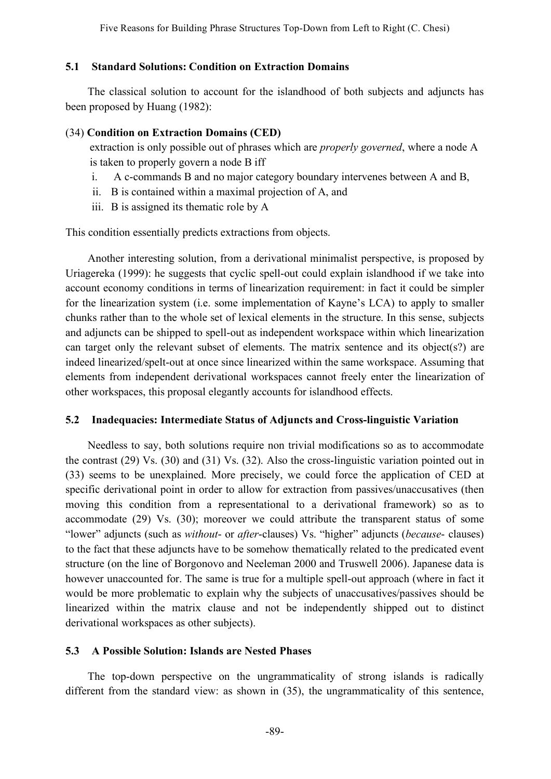### **5.1 Standard Solutions: Condition on Extraction Domains**

The classical solution to account for the islandhood of both subjects and adjuncts has been proposed by Huang (1982):

#### (34) **Condition on Extraction Domains (CED)**

extraction is only possible out of phrases which are *properly governed*, where a node A is taken to properly govern a node B iff

- i. A c-commands B and no major category boundary intervenes between A and B,
- ii. B is contained within a maximal projection of A, and
- iii. B is assigned its thematic role by A

This condition essentially predicts extractions from objects.

Another interesting solution, from a derivational minimalist perspective, is proposed by Uriagereka (1999): he suggests that cyclic spell-out could explain islandhood if we take into account economy conditions in terms of linearization requirement: in fact it could be simpler for the linearization system (i.e. some implementation of Kayne's LCA) to apply to smaller chunks rather than to the whole set of lexical elements in the structure. In this sense, subjects and adjuncts can be shipped to spell-out as independent workspace within which linearization can target only the relevant subset of elements. The matrix sentence and its object(s?) are indeed linearized/spelt-out at once since linearized within the same workspace. Assuming that elements from independent derivational workspaces cannot freely enter the linearization of other workspaces, this proposal elegantly accounts for islandhood effects.

### **5.2 Inadequacies: Intermediate Status of Adjuncts and Cross-linguistic Variation**

Needless to say, both solutions require non trivial modifications so as to accommodate the contrast (29) Vs. (30) and (31) Vs. (32). Also the cross-linguistic variation pointed out in (33) seems to be unexplained. More precisely, we could force the application of CED at specific derivational point in order to allow for extraction from passives/unaccusatives (then moving this condition from a representational to a derivational framework) so as to accommodate (29) Vs. (30); moreover we could attribute the transparent status of some "lower" adjuncts (such as *without*- or *after*-clauses) Vs. "higher" adjuncts (*because*- clauses) to the fact that these adjuncts have to be somehow thematically related to the predicated event structure (on the line of Borgonovo and Neeleman 2000 and Truswell 2006). Japanese data is however unaccounted for. The same is true for a multiple spell-out approach (where in fact it would be more problematic to explain why the subjects of unaccusatives/passives should be linearized within the matrix clause and not be independently shipped out to distinct derivational workspaces as other subjects).

### **5.3 A Possible Solution: Islands are Nested Phases**

The top-down perspective on the ungrammaticality of strong islands is radically different from the standard view: as shown in (35), the ungrammaticality of this sentence,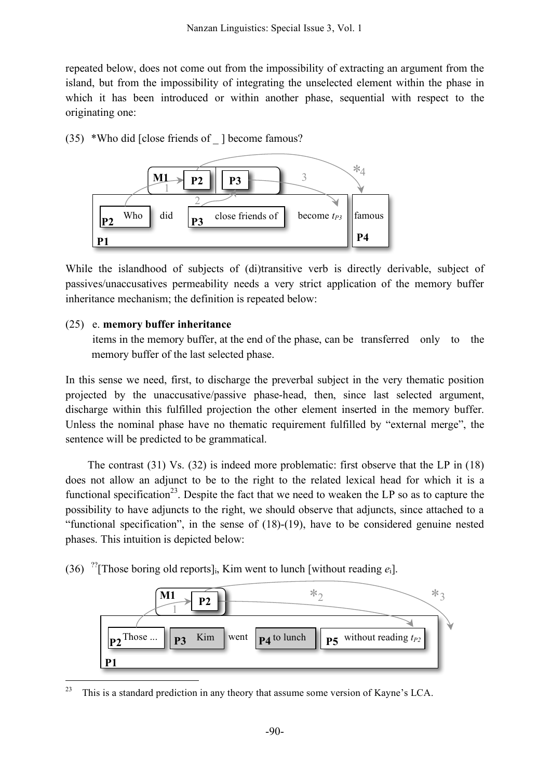repeated below, does not come out from the impossibility of extracting an argument from the island, but from the impossibility of integrating the unselected element within the phase in which it has been introduced or within another phase, sequential with respect to the originating one:

(35) \*Who did [close friends of \_ ] become famous?



While the islandhood of subjects of (di)transitive verb is directly derivable, subject of passives/unaccusatives permeability needs a very strict application of the memory buffer inheritance mechanism; the definition is repeated below:

#### (25) e. **memory buffer inheritance**

items in the memory buffer, at the end of the phase, can be transferred only to the memory buffer of the last selected phase.

In this sense we need, first, to discharge the preverbal subject in the very thematic position projected by the unaccusative/passive phase-head, then, since last selected argument, discharge within this fulfilled projection the other element inserted in the memory buffer. Unless the nominal phase have no thematic requirement fulfilled by "external merge", the sentence will be predicted to be grammatical.

The contrast (31) Vs. (32) is indeed more problematic: first observe that the LP in (18) does not allow an adjunct to be to the right to the related lexical head for which it is a functional specification<sup>23</sup>. Despite the fact that we need to weaken the LP so as to capture the possibility to have adjuncts to the right, we should observe that adjuncts, since attached to a "functional specification", in the sense of (18)-(19), have to be considered genuine nested phases. This intuition is depicted below:

(36) <sup>??</sup>[Those boring old reports]<sub>i</sub>, Kim went to lunch [without reading  $e_i$ ].



 $23$  This is a standard prediction in any theory that assume some version of Kayne's LCA.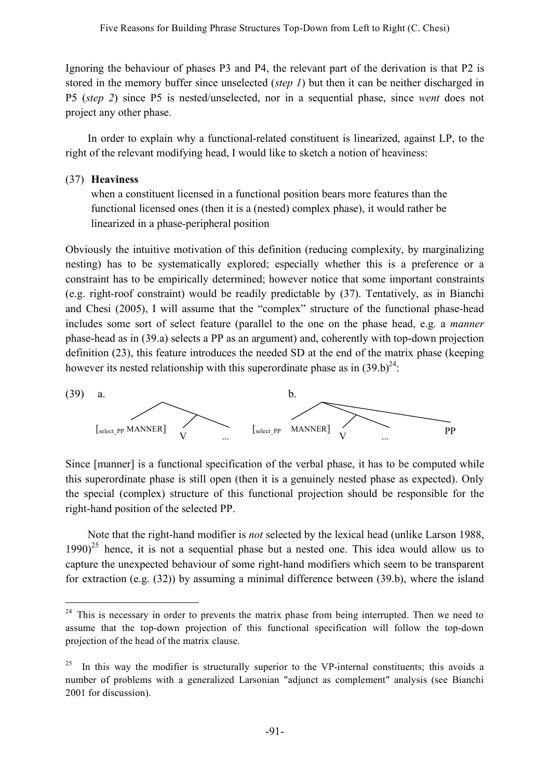Ignoring the behaviour of phases P3 and P4, the relevant part of the derivation is that P2 is stored in the memory buffer since unselected (*step 1*) but then it can be neither discharged in P5 (*step 2*) since P5 is nested/unselected, nor in a sequential phase, since *went* does not project any other phase.

In order to explain why a functional-related constituent is linearized, against LP, to the right of the relevant modifying head, I would like to sketch a notion of heaviness:

## (37) **Heaviness**

when a constituent licensed in a functional position bears more features than the functional licensed ones (then it is a (nested) complex phase), it would rather be linearized in a phase-peripheral position

Obviously the intuitive motivation of this definition (reducing complexity, by marginalizing nesting) has to be systematically explored; especially whether this is a preference or a constraint has to be empirically determined; however notice that some important constraints (e.g. right-roof constraint) would be readily predictable by (37). Tentatively, as in Bianchi and Chesi (2005), I will assume that the "complex" structure of the functional phase-head includes some sort of select feature (parallel to the one on the phase head, e.g. a *manner* phase-head as in (39.a) selects a PP as an argument) and, coherently with top-down projection definition (23), this feature introduces the needed SD at the end of the matrix phase (keeping however its nested relationship with this superordinate phase as in  $(39.b)^{24}$ .



Since [manner] is a functional specification of the verbal phase, it has to be computed while this superordinate phase is still open (then it is a genuinely nested phase as expected). Only the special (complex) structure of this functional projection should be responsible for the right-hand position of the selected PP.

Note that the right-hand modifier is *not* selected by the lexical head (unlike Larson 1988,  $1990)^{25}$  hence, it is not a sequential phase but a nested one. This idea would allow us to capture the unexpected behaviour of some right-hand modifiers which seem to be transparent for extraction (e.g. (32)) by assuming a minimal difference between (39.b), where the island

<sup>&</sup>lt;sup>24</sup> This is necessary in order to prevents the matrix phase from being interrupted. Then we need to assume that the top-down projection of this functional specification will follow the top-down projection of the head of the matrix clause.

In this way the modifier is structurally superior to the VP-internal constituents; this avoids a number of problems with a generalized Larsonian "adjunct as complement" analysis (see Bianchi 2001 for discussion).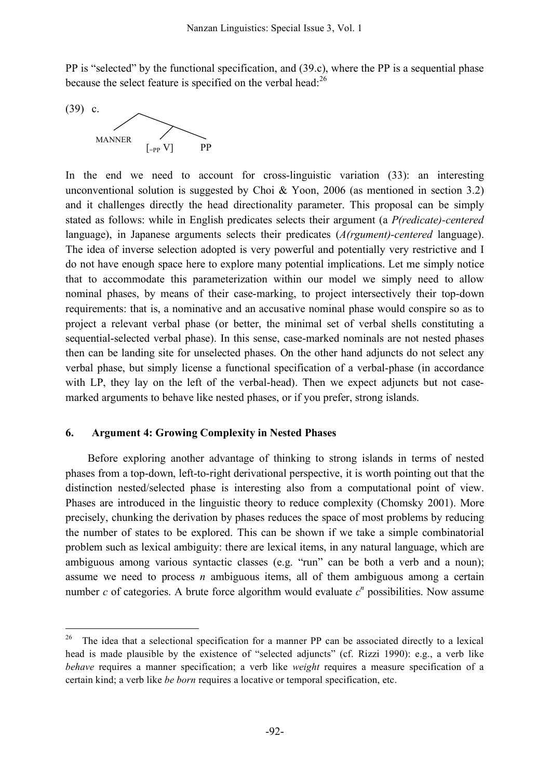PP is "selected" by the functional specification, and (39.c), where the PP is a sequential phase because the select feature is specified on the verbal head:<sup>26</sup>

(39) c. MANNER  $[-PP V]$  PP

In the end we need to account for cross-linguistic variation (33): an interesting unconventional solution is suggested by Choi & Yoon, 2006 (as mentioned in section 3.2) and it challenges directly the head directionality parameter. This proposal can be simply stated as follows: while in English predicates selects their argument (a *P(redicate)-centered* language), in Japanese arguments selects their predicates (*A(rgument)-centered* language). The idea of inverse selection adopted is very powerful and potentially very restrictive and I do not have enough space here to explore many potential implications. Let me simply notice that to accommodate this parameterization within our model we simply need to allow nominal phases, by means of their case-marking, to project intersectively their top-down requirements: that is, a nominative and an accusative nominal phase would conspire so as to project a relevant verbal phase (or better, the minimal set of verbal shells constituting a sequential-selected verbal phase). In this sense, case-marked nominals are not nested phases then can be landing site for unselected phases. On the other hand adjuncts do not select any verbal phase, but simply license a functional specification of a verbal-phase (in accordance with LP, they lay on the left of the verbal-head). Then we expect adjuncts but not casemarked arguments to behave like nested phases, or if you prefer, strong islands.

#### **6. Argument 4: Growing Complexity in Nested Phases**

Before exploring another advantage of thinking to strong islands in terms of nested phases from a top-down, left-to-right derivational perspective, it is worth pointing out that the distinction nested/selected phase is interesting also from a computational point of view. Phases are introduced in the linguistic theory to reduce complexity (Chomsky 2001). More precisely, chunking the derivation by phases reduces the space of most problems by reducing the number of states to be explored. This can be shown if we take a simple combinatorial problem such as lexical ambiguity: there are lexical items, in any natural language, which are ambiguous among various syntactic classes (e.g. "run" can be both a verb and a noun); assume we need to process *n* ambiguous items, all of them ambiguous among a certain number  $c$  of categories. A brute force algorithm would evaluate  $c<sup>n</sup>$  possibilities. Now assume

<sup>&</sup>lt;sup>26</sup> The idea that a selectional specification for a manner PP can be associated directly to a lexical head is made plausible by the existence of "selected adjuncts" (cf. Rizzi 1990): e.g., a verb like *behave* requires a manner specification; a verb like *weight* requires a measure specification of a certain kind; a verb like *be born* requires a locative or temporal specification, etc.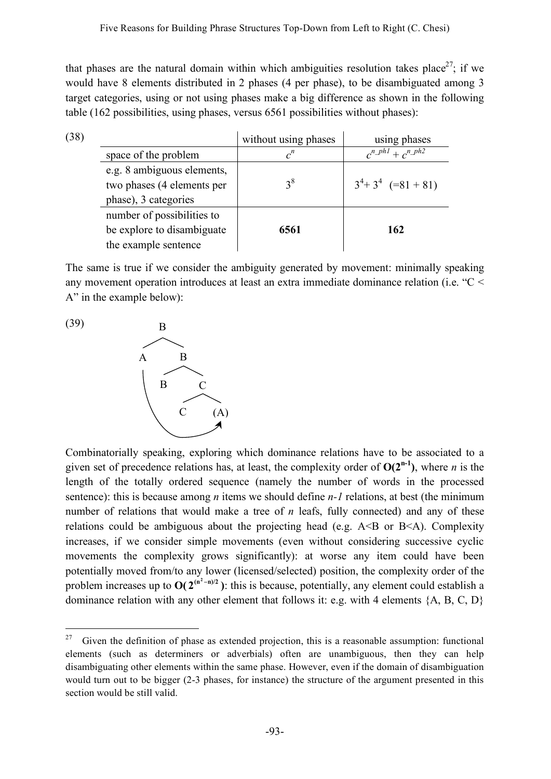that phases are the natural domain within which ambiguities resolution takes place<sup>27</sup>; if we would have 8 elements distributed in 2 phases (4 per phase), to be disambiguated among 3 target categories, using or not using phases make a big difference as shown in the following table (162 possibilities, using phases, versus 6561 possibilities without phases):

| (38) |                                                          | without using phases | using phases                                    |
|------|----------------------------------------------------------|----------------------|-------------------------------------------------|
|      | space of the problem                                     | $c^n$                | $c^{n}$ $\frac{ph1}{2} + c^{n}$ $\frac{ph2}{2}$ |
|      | e.g. 8 ambiguous elements,<br>two phases (4 elements per | $3^8$                | $3^4 + 3^4$ (=81 + 81)                          |
|      | phase), 3 categories                                     |                      |                                                 |
|      | number of possibilities to                               |                      |                                                 |
|      | be explore to disambiguate                               | 6561                 | 162                                             |
|      | the example sentence                                     |                      |                                                 |

The same is true if we consider the ambiguity generated by movement: minimally speaking any movement operation introduces at least an extra immediate dominance relation (i.e. "C < A" in the example below):



Combinatorially speaking, exploring which dominance relations have to be associated to a given set of precedence relations has, at least, the complexity order of  $O(2^{n-1})$ , where *n* is the length of the totally ordered sequence (namely the number of words in the processed sentence): this is because among *n* items we should define *n*-*l* relations, at best (the minimum number of relations that would make a tree of *n* leafs, fully connected) and any of these relations could be ambiguous about the projecting head (e.g.  $A \triangle B$  or  $B \triangle A$ ). Complexity increases, if we consider simple movements (even without considering successive cyclic movements the complexity grows significantly): at worse any item could have been potentially moved from/to any lower (licensed/selected) position, the complexity order of the problem increases up to  $O(2^{(n^2-n)/2})$ : this is because, potentially, any element could establish a dominance relation with any other element that follows it: e.g. with 4 elements {A, B, C, D}

<sup>&</sup>lt;sup>27</sup> Given the definition of phase as extended projection, this is a reasonable assumption: functional elements (such as determiners or adverbials) often are unambiguous, then they can help disambiguating other elements within the same phase. However, even if the domain of disambiguation would turn out to be bigger (2-3 phases, for instance) the structure of the argument presented in this section would be still valid.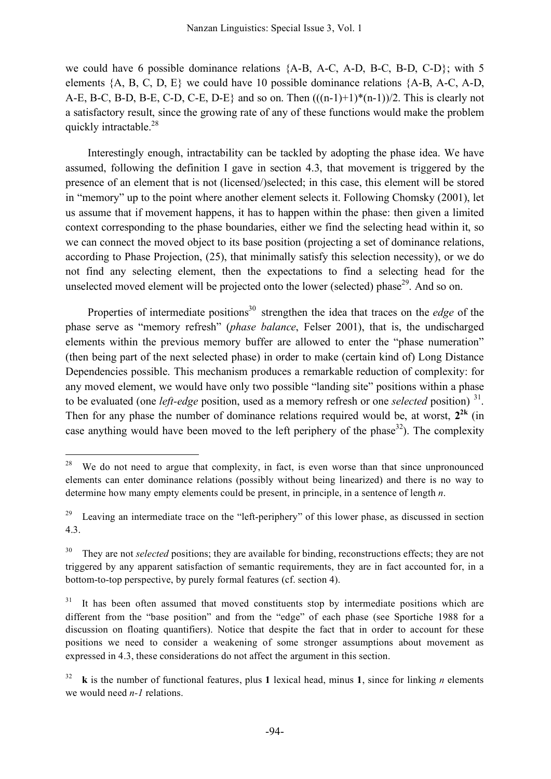we could have 6 possible dominance relations {A-B, A-C, A-D, B-C, B-D, C-D}; with 5 elements  $\{A, B, C, D, E\}$  we could have 10 possible dominance relations  $\{A-B, A-C, A-D,$ A-E, B-C, B-D, B-E, C-D, C-E, D-E} and so on. Then  $(((n-1)+1)*(n-1))/2$ . This is clearly not a satisfactory result, since the growing rate of any of these functions would make the problem quickly intractable.<sup>28</sup>

Interestingly enough, intractability can be tackled by adopting the phase idea. We have assumed, following the definition I gave in section 4.3, that movement is triggered by the presence of an element that is not (licensed/)selected; in this case, this element will be stored in "memory" up to the point where another element selects it. Following Chomsky (2001), let us assume that if movement happens, it has to happen within the phase: then given a limited context corresponding to the phase boundaries, either we find the selecting head within it, so we can connect the moved object to its base position (projecting a set of dominance relations, according to Phase Projection, (25), that minimally satisfy this selection necessity), or we do not find any selecting element, then the expectations to find a selecting head for the unselected moved element will be projected onto the lower (selected) phase $^{29}$ . And so on.

Properties of intermediate positions<sup>30</sup> strengthen the idea that traces on the *edge* of the phase serve as "memory refresh" (*phase balance*, Felser 2001), that is, the undischarged elements within the previous memory buffer are allowed to enter the "phase numeration" (then being part of the next selected phase) in order to make (certain kind of) Long Distance Dependencies possible. This mechanism produces a remarkable reduction of complexity: for any moved element, we would have only two possible "landing site" positions within a phase to be evaluated (one *left-edge* position, used as a memory refresh or one *selected* position) <sup>31</sup>. Then for any phase the number of dominance relations required would be, at worst,  $2^{2k}$  (in case anything would have been moved to the left periphery of the phase<sup>32</sup>). The complexity

<sup>&</sup>lt;sup>28</sup> We do not need to argue that complexity, in fact, is even worse than that since unpronounced elements can enter dominance relations (possibly without being linearized) and there is no way to determine how many empty elements could be present, in principle, in a sentence of length *n*.

<sup>&</sup>lt;sup>29</sup> Leaving an intermediate trace on the "left-periphery" of this lower phase, as discussed in section 4.3.

<sup>&</sup>lt;sup>30</sup> They are not *selected* positions; they are available for binding, reconstructions effects; they are not triggered by any apparent satisfaction of semantic requirements, they are in fact accounted for, in a bottom-to-top perspective, by purely formal features (cf. section 4).

 $31$  It has been often assumed that moved constituents stop by intermediate positions which are different from the "base position" and from the "edge" of each phase (see Sportiche 1988 for a discussion on floating quantifiers). Notice that despite the fact that in order to account for these positions we need to consider a weakening of some stronger assumptions about movement as expressed in 4.3, these considerations do not affect the argument in this section.

 $\bf{k}$  is the number of functional features, plus 1 lexical head, minus 1, since for linking *n* elements we would need *n-1* relations.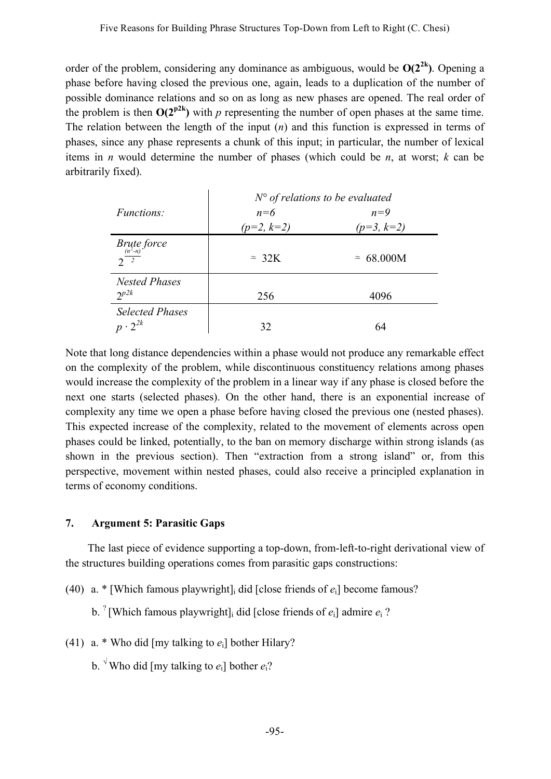order of the problem, considering any dominance as ambiguous, would be  $O(2^{2k})$ . Opening a phase before having closed the previous one, again, leads to a duplication of the number of possible dominance relations and so on as long as new phases are opened. The real order of the problem is then  $O(2^{p2k})$  with *p* representing the number of open phases at the same time. The relation between the length of the input (*n*) and this function is expressed in terms of phases, since any phase represents a chunk of this input; in particular, the number of lexical items in *n* would determine the number of phases (which could be *n*, at worst; *k* can be arbitrarily fixed).

|                                            | $N^{\circ}$ of relations to be evaluated |                    |
|--------------------------------------------|------------------------------------------|--------------------|
| <i>Functions:</i>                          | $n=6$                                    | $n=9$              |
|                                            | $(p=2, k=2)$                             | $(p=3, k=2)$       |
| Brute force<br>$2^{\frac{(n^2-n)}{2}}$     | $\approx 32K$                            | $~\approx~68.000M$ |
| <b>Nested Phases</b><br>$2^{p2k}$          | 256                                      | 4096               |
| <b>Selected Phases</b><br>$p \cdot 2^{2k}$ | 32                                       | 64                 |

Note that long distance dependencies within a phase would not produce any remarkable effect on the complexity of the problem, while discontinuous constituency relations among phases would increase the complexity of the problem in a linear way if any phase is closed before the next one starts (selected phases). On the other hand, there is an exponential increase of complexity any time we open a phase before having closed the previous one (nested phases). This expected increase of the complexity, related to the movement of elements across open phases could be linked, potentially, to the ban on memory discharge within strong islands (as shown in the previous section). Then "extraction from a strong island" or, from this perspective, movement within nested phases, could also receive a principled explanation in terms of economy conditions.

# **7. Argument 5: Parasitic Gaps**

The last piece of evidence supporting a top-down, from-left-to-right derivational view of the structures building operations comes from parasitic gaps constructions:

(40) a. \* [Which famous playwright]i did [close friends of *e*i] become famous?

b. ? [Which famous playwright]i did [close friends of *e*i] admire *e*<sup>i</sup> ?

- (41) a. \* Who did [my talking to *e*i] bother Hilary?
	- b. <sup> $\sqrt{1}$ </sup> Who did [my talking to  $e_i$ ] bother  $e_i$ ?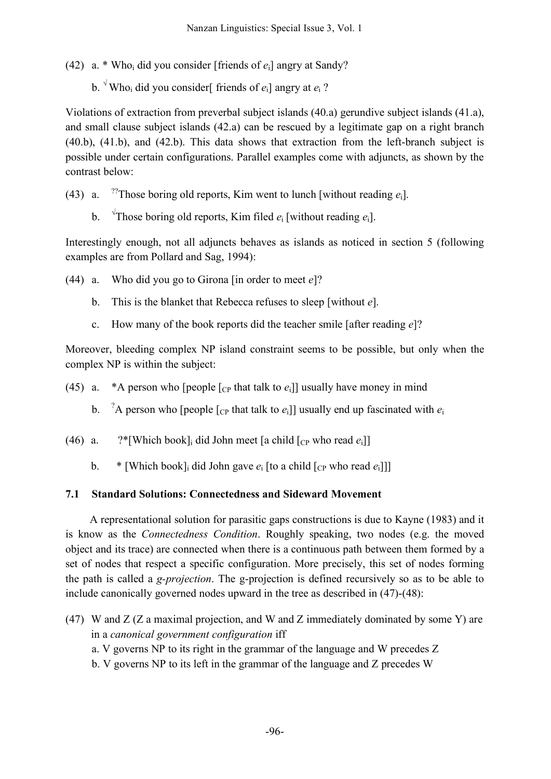- (42) a. \* Who<sub>i</sub> did you consider [friends of  $e_i$ ] angry at Sandy?
	- b.  $\sqrt{x}$  Who<sub>i</sub> did you consider friends of  $e_i$  angry at  $e_i$ ?

Violations of extraction from preverbal subject islands (40.a) gerundive subject islands (41.a), and small clause subject islands (42.a) can be rescued by a legitimate gap on a right branch (40.b), (41.b), and (42.b). This data shows that extraction from the left-branch subject is possible under certain configurations. Parallel examples come with adjuncts, as shown by the contrast below:

- $(43)$  a. <sup>22</sup>Those boring old reports, Kim went to lunch [without reading  $e_i$ ].
	- $\mathbf{b}$ . Those boring old reports, Kim filed  $e_i$  [without reading  $e_i$ ].

Interestingly enough, not all adjuncts behaves as islands as noticed in section 5 (following examples are from Pollard and Sag, 1994):

- (44) a. Who did you go to Girona [in order to meet *e*]?
	- b. This is the blanket that Rebecca refuses to sleep [without *e*].
	- c. How many of the book reports did the teacher smile [after reading *e*]?

Moreover, bleeding complex NP island constraint seems to be possible, but only when the complex NP is within the subject:

- (45) a. \*A person who [people  $\lceil_{CP}$  that talk to  $e_i$ ]] usually have money in mind
	- $b<sub>1</sub>$ <sup>2</sup>A person who [people  $\lceil_{CP}$  that talk to  $e_i$ ]] usually end up fascinated with  $e_i$
- (46) a.  $?$ <sup>\*</sup>[Which book]<sub>i</sub> did John meet [a child  $[$ c<sub>P</sub> who read  $e_i$ ]]
	- b. \* [Which book]<sub>i</sub> did John gave  $e_i$  [to a child  $\lceil c_p$  who read  $e_i \rceil$ ]]

# **7.1 Standard Solutions: Connectedness and Sideward Movement**

A representational solution for parasitic gaps constructions is due to Kayne (1983) and it is know as the *Connectedness Condition*. Roughly speaking, two nodes (e.g. the moved object and its trace) are connected when there is a continuous path between them formed by a set of nodes that respect a specific configuration. More precisely, this set of nodes forming the path is called a *g-projection*. The g-projection is defined recursively so as to be able to include canonically governed nodes upward in the tree as described in (47)-(48):

- (47) W and Z (Z a maximal projection, and W and Z immediately dominated by some Y) are in a *canonical government configuration* iff
	- a. V governs NP to its right in the grammar of the language and W precedes Z
	- b. V governs NP to its left in the grammar of the language and Z precedes W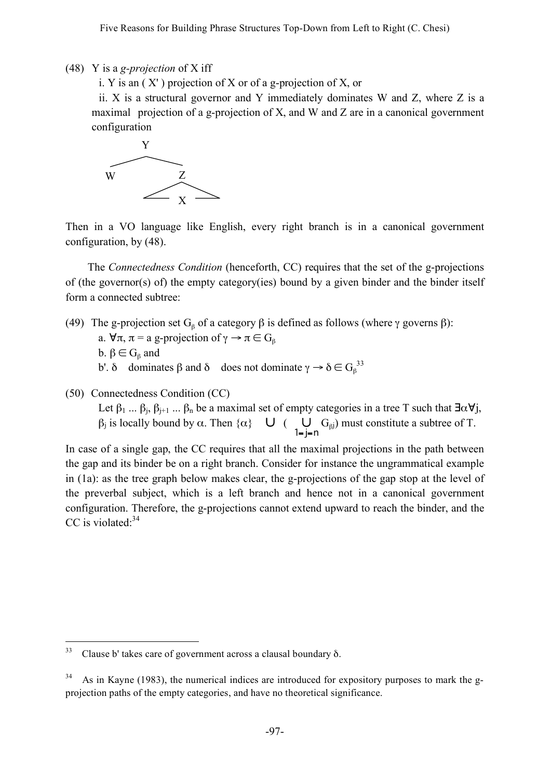Five Reasons for Building Phrase Structures Top-Down from Left to Right (C. Chesi)

(48) Y is a *g-projection* of X iff

i. Y is an ( X' ) projection of X or of a g-projection of X, or

ii. X is a structural governor and Y immediately dominates W and Z, where Z is a maximal projection of a g-projection of X, and W and Z are in a canonical government configuration



Then in a VO language like English, every right branch is in a canonical government configuration, by (48).

The *Connectedness Condition* (henceforth, CC) requires that the set of the g-projections of (the governor(s) of) the empty category(ies) bound by a given binder and the binder itself form a connected subtree:

- (49) The g-projection set  $G_\beta$  of a category  $\beta$  is defined as follows (where  $\gamma$  governs  $\beta$ ):
	- a.  $\forall \pi, \pi$  = a g-projection of  $\gamma \rightarrow \pi \in G_8$
	- b.  $\beta \in G_{\beta}$  and
	- b'. δ dominates β and δ does not dominate  $\gamma \to \delta \in G_{\beta}^{33}$
- (50) Connectedness Condition (CC)

Let  $\beta_1$  ...  $\beta_i$ ,  $\beta_{i+1}$  ...  $\beta_n$  be a maximal set of empty categories in a tree T such that  $\exists \alpha \forall j$ ,  $β_j$  is locally bound by α. Then  $\{α\}$  U (U<sub>I</sub>  $G_{βj}$ ) must constitute a subtree of T.

In case of a single gap, the CC requires that all the maximal projections in the path between the gap and its binder be on a right branch. Consider for instance the ungrammatical example in (1a): as the tree graph below makes clear, the g-projections of the gap stop at the level of the preverbal subject, which is a left branch and hence not in a canonical government configuration. Therefore, the g-projections cannot extend upward to reach the binder, and the CC is violated.<sup>34</sup>

 $33$  Clause b' takes care of government across a clausal boundary  $\delta$ .

As in Kayne (1983), the numerical indices are introduced for expository purposes to mark the gprojection paths of the empty categories, and have no theoretical significance.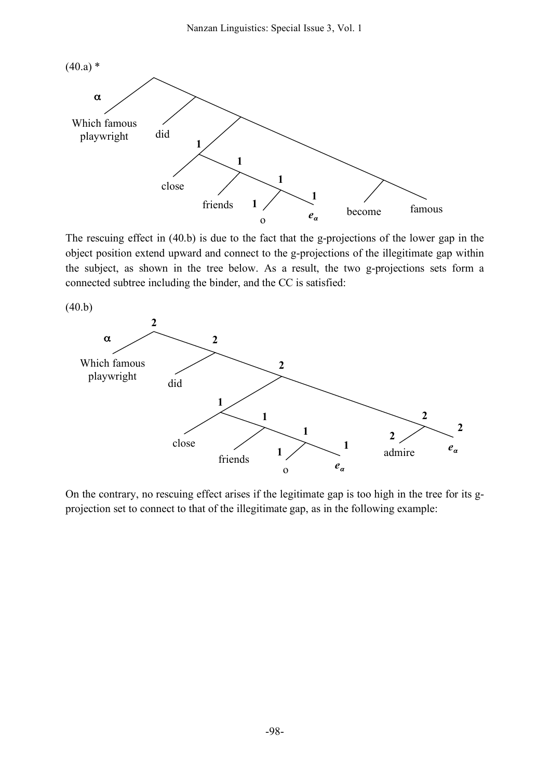

The rescuing effect in (40.b) is due to the fact that the g-projections of the lower gap in the object position extend upward and connect to the g-projections of the illegitimate gap within the subject, as shown in the tree below. As a result, the two g-projections sets form a connected subtree including the binder, and the CC is satisfied:



On the contrary, no rescuing effect arises if the legitimate gap is too high in the tree for its gprojection set to connect to that of the illegitimate gap, as in the following example: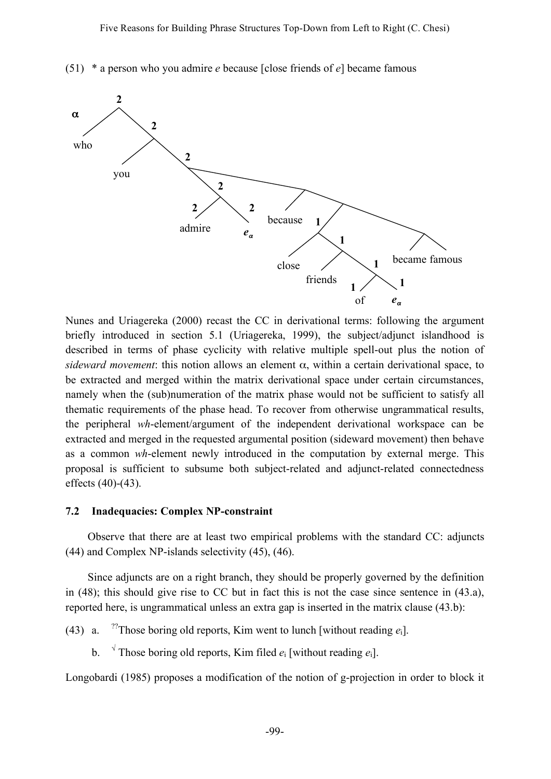

(51) \* a person who you admire *e* because [close friends of *e*] became famous

Nunes and Uriagereka (2000) recast the CC in derivational terms: following the argument briefly introduced in section 5.1 (Uriagereka, 1999), the subject/adjunct islandhood is described in terms of phase cyclicity with relative multiple spell-out plus the notion of *sideward movement*: this notion allows an element  $\alpha$ , within a certain derivational space, to be extracted and merged within the matrix derivational space under certain circumstances, namely when the (sub)numeration of the matrix phase would not be sufficient to satisfy all thematic requirements of the phase head. To recover from otherwise ungrammatical results, the peripheral *wh*-element/argument of the independent derivational workspace can be extracted and merged in the requested argumental position (sideward movement) then behave as a common *wh*-element newly introduced in the computation by external merge. This proposal is sufficient to subsume both subject-related and adjunct-related connectedness effects (40)-(43).

#### **7.2 Inadequacies: Complex NP-constraint**

Observe that there are at least two empirical problems with the standard CC: adjuncts (44) and Complex NP-islands selectivity (45), (46).

Since adjuncts are on a right branch, they should be properly governed by the definition in (48); this should give rise to CC but in fact this is not the case since sentence in (43.a), reported here, is ungrammatical unless an extra gap is inserted in the matrix clause (43.b):

 $(43)$  a. <sup>22</sup>Those boring old reports, Kim went to lunch [without reading  $e_i$ ].

b.  $\sqrt{\ }$  Those boring old reports, Kim filed  $e_i$  [without reading  $e_i$ ].

Longobardi (1985) proposes a modification of the notion of g-projection in order to block it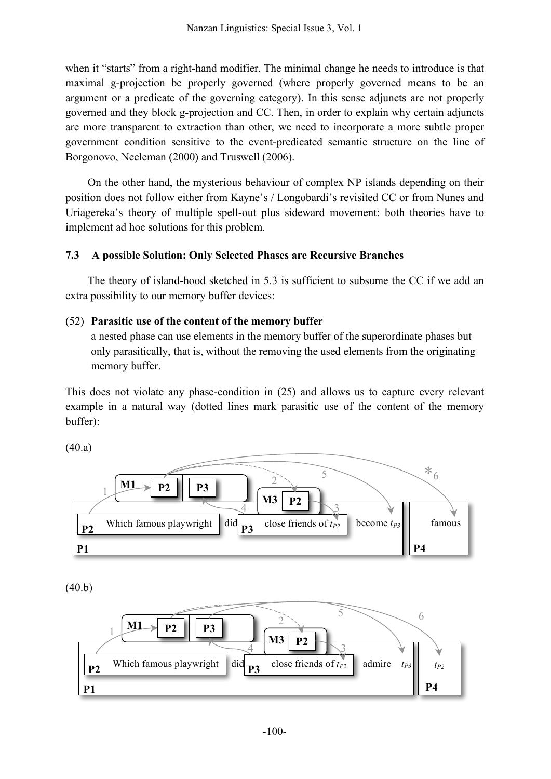when it "starts" from a right-hand modifier. The minimal change he needs to introduce is that maximal g-projection be properly governed (where properly governed means to be an argument or a predicate of the governing category). In this sense adjuncts are not properly governed and they block g-projection and CC. Then, in order to explain why certain adjuncts are more transparent to extraction than other, we need to incorporate a more subtle proper government condition sensitive to the event-predicated semantic structure on the line of Borgonovo, Neeleman (2000) and Truswell (2006).

On the other hand, the mysterious behaviour of complex NP islands depending on their position does not follow either from Kayne's / Longobardi's revisited CC or from Nunes and Uriagereka's theory of multiple spell-out plus sideward movement: both theories have to implement ad hoc solutions for this problem.

# **7.3 A possible Solution: Only Selected Phases are Recursive Branches**

The theory of island-hood sketched in 5.3 is sufficient to subsume the CC if we add an extra possibility to our memory buffer devices:

# (52) **Parasitic use of the content of the memory buffer**

a nested phase can use elements in the memory buffer of the superordinate phases but only parasitically, that is, without the removing the used elements from the originating memory buffer.

This does not violate any phase-condition in (25) and allows us to capture every relevant example in a natural way (dotted lines mark parasitic use of the content of the memory buffer):

(40.a)



(40.b)

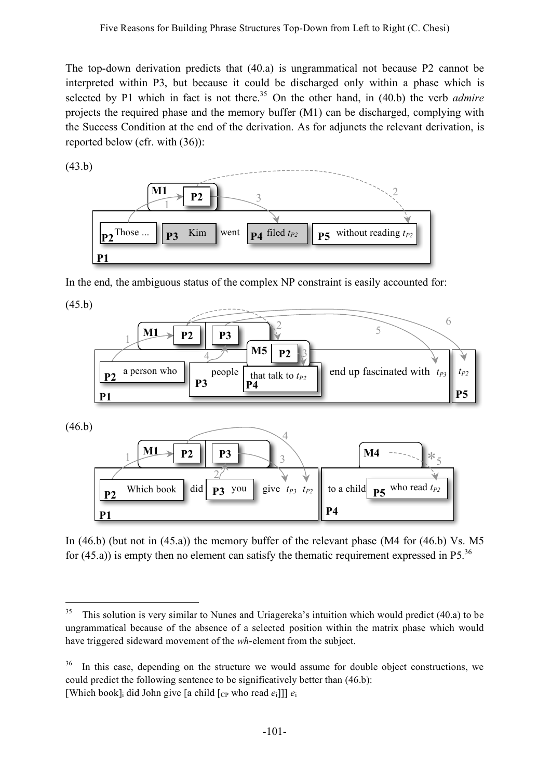The top-down derivation predicts that (40.a) is ungrammatical not because P2 cannot be interpreted within P3, but because it could be discharged only within a phase which is selected by P1 which in fact is not there. <sup>35</sup> On the other hand, in (40.b) the verb *admire* projects the required phase and the memory buffer (M1) can be discharged, complying with the Success Condition at the end of the derivation. As for adjuncts the relevant derivation, is reported below (cfr. with (36)):

(43.b)



In the end, the ambiguous status of the complex NP constraint is easily accounted for: **(matrix)**

(45.b)



In (46.b) (but not in (45.a)) the memory buffer of the relevant phase (M4 for (46.b) Vs. M5 for  $(45.a)$ ) is empty then no element can satisfy the thematic requirement expressed in P5.<sup>36</sup> ic requiremer **ri**

<sup>&</sup>lt;sup>35</sup> This solution is very similar to Nunes and Uriagereka's intuition which would predict (40.a) to be ungrammatical because of the absence of a selected position within the matrix phase which would have triggered sideward movement of the *wh*-element from the subject.

<sup>&</sup>lt;sup>36</sup> In this case, depending on the structure we would assume for double object constructions, we could predict the following sentence to be significatively better than (46.b): [Which book]<sub>i</sub> did John give [a child  $[CP$  who read  $e_i$ ]]]  $e_i$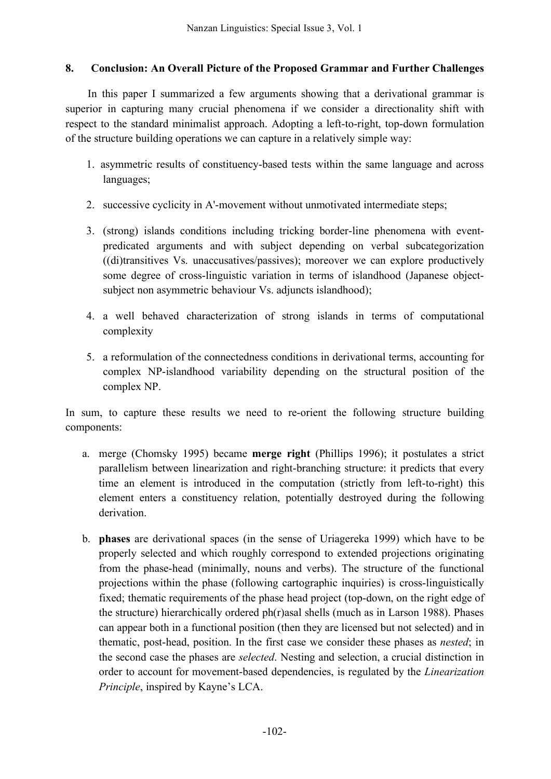# **8. Conclusion: An Overall Picture of the Proposed Grammar and Further Challenges**

In this paper I summarized a few arguments showing that a derivational grammar is superior in capturing many crucial phenomena if we consider a directionality shift with respect to the standard minimalist approach. Adopting a left-to-right, top-down formulation of the structure building operations we can capture in a relatively simple way:

- 1. asymmetric results of constituency-based tests within the same language and across languages;
- 2. successive cyclicity in A'-movement without unmotivated intermediate steps;
- 3. (strong) islands conditions including tricking border-line phenomena with eventpredicated arguments and with subject depending on verbal subcategorization ((di)transitives Vs. unaccusatives/passives); moreover we can explore productively some degree of cross-linguistic variation in terms of islandhood (Japanese objectsubject non asymmetric behaviour Vs. adjuncts islandhood);
- 4. a well behaved characterization of strong islands in terms of computational complexity
- 5. a reformulation of the connectedness conditions in derivational terms, accounting for complex NP-islandhood variability depending on the structural position of the complex NP.

In sum, to capture these results we need to re-orient the following structure building components:

- a. merge (Chomsky 1995) became **merge right** (Phillips 1996); it postulates a strict parallelism between linearization and right-branching structure: it predicts that every time an element is introduced in the computation (strictly from left-to-right) this element enters a constituency relation, potentially destroyed during the following derivation.
- b. **phases** are derivational spaces (in the sense of Uriagereka 1999) which have to be properly selected and which roughly correspond to extended projections originating from the phase-head (minimally, nouns and verbs). The structure of the functional projections within the phase (following cartographic inquiries) is cross-linguistically fixed; thematic requirements of the phase head project (top-down, on the right edge of the structure) hierarchically ordered ph(r)asal shells (much as in Larson 1988). Phases can appear both in a functional position (then they are licensed but not selected) and in thematic, post-head, position. In the first case we consider these phases as *nested*; in the second case the phases are *selected*. Nesting and selection, a crucial distinction in order to account for movement-based dependencies, is regulated by the *Linearization Principle*, inspired by Kayne's LCA.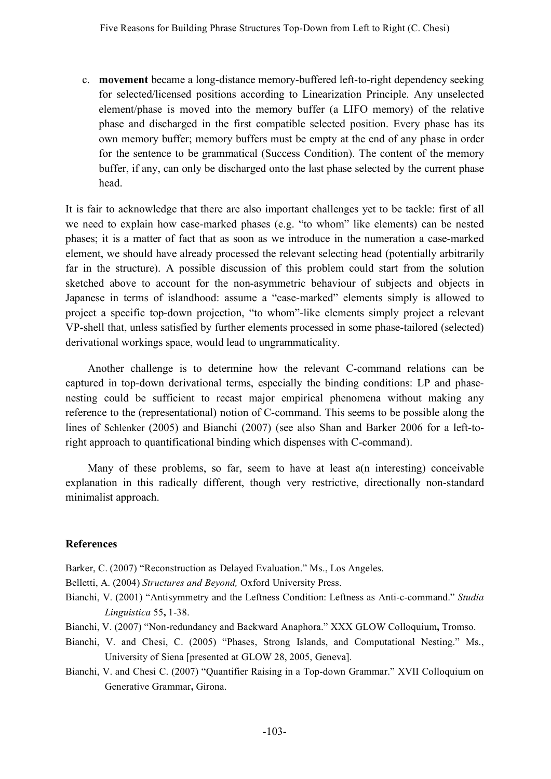c. **movement** became a long-distance memory-buffered left-to-right dependency seeking for selected/licensed positions according to Linearization Principle. Any unselected element/phase is moved into the memory buffer (a LIFO memory) of the relative phase and discharged in the first compatible selected position. Every phase has its own memory buffer; memory buffers must be empty at the end of any phase in order for the sentence to be grammatical (Success Condition). The content of the memory buffer, if any, can only be discharged onto the last phase selected by the current phase head.

It is fair to acknowledge that there are also important challenges yet to be tackle: first of all we need to explain how case-marked phases (e.g. "to whom" like elements) can be nested phases; it is a matter of fact that as soon as we introduce in the numeration a case-marked element, we should have already processed the relevant selecting head (potentially arbitrarily far in the structure). A possible discussion of this problem could start from the solution sketched above to account for the non-asymmetric behaviour of subjects and objects in Japanese in terms of islandhood: assume a "case-marked" elements simply is allowed to project a specific top-down projection, "to whom"-like elements simply project a relevant VP-shell that, unless satisfied by further elements processed in some phase-tailored (selected) derivational workings space, would lead to ungrammaticality.

Another challenge is to determine how the relevant C-command relations can be captured in top-down derivational terms, especially the binding conditions: LP and phasenesting could be sufficient to recast major empirical phenomena without making any reference to the (representational) notion of C-command. This seems to be possible along the lines of Schlenker (2005) and Bianchi (2007) (see also Shan and Barker 2006 for a left-toright approach to quantificational binding which dispenses with C-command).

Many of these problems, so far, seem to have at least a(n interesting) conceivable explanation in this radically different, though very restrictive, directionally non-standard minimalist approach.

### **References**

Barker, C. (2007) "Reconstruction as Delayed Evaluation." Ms., Los Angeles.

Belletti, A. (2004) *Structures and Beyond,* Oxford University Press.

- Bianchi, V. (2001) "Antisymmetry and the Leftness Condition: Leftness as Anti-c-command." *Studia Linguistica* 55**,** 1-38.
- Bianchi, V. (2007) "Non-redundancy and Backward Anaphora." XXX GLOW Colloquium**,** Tromso.
- Bianchi, V. and Chesi, C. (2005) "Phases, Strong Islands, and Computational Nesting." Ms., University of Siena [presented at GLOW 28, 2005, Geneva].
- Bianchi, V. and Chesi C. (2007) "Quantifier Raising in a Top-down Grammar." XVII Colloquium on Generative Grammar**,** Girona.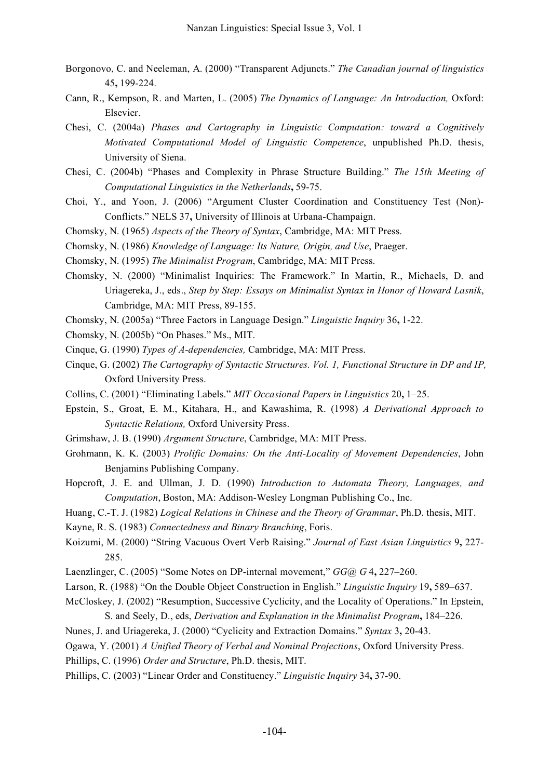- Borgonovo, C. and Neeleman, A. (2000) "Transparent Adjuncts." *The Canadian journal of linguistics* 45**,** 199-224.
- Cann, R., Kempson, R. and Marten, L. (2005) *The Dynamics of Language: An Introduction,* Oxford: Elsevier.
- Chesi, C. (2004a) *Phases and Cartography in Linguistic Computation: toward a Cognitively Motivated Computational Model of Linguistic Competence*, unpublished Ph.D. thesis, University of Siena.
- Chesi, C. (2004b) "Phases and Complexity in Phrase Structure Building." *The 15th Meeting of Computational Linguistics in the Netherlands***,** 59-75.
- Choi, Y., and Yoon, J. (2006) "Argument Cluster Coordination and Constituency Test (Non)- Conflicts." NELS 37**,** University of Illinois at Urbana-Champaign.
- Chomsky, N. (1965) *Aspects of the Theory of Syntax*, Cambridge, MA: MIT Press.
- Chomsky, N. (1986) *Knowledge of Language: Its Nature, Origin, and Use*, Praeger.
- Chomsky, N. (1995) *The Minimalist Program*, Cambridge, MA: MIT Press.
- Chomsky, N. (2000) "Minimalist Inquiries: The Framework." In Martin, R., Michaels, D. and Uriagereka, J., eds., *Step by Step: Essays on Minimalist Syntax in Honor of Howard Lasnik*, Cambridge, MA: MIT Press, 89-155.
- Chomsky, N. (2005a) "Three Factors in Language Design." *Linguistic Inquiry* 36**,** 1-22.
- Chomsky, N. (2005b) "On Phases." Ms., MIT.
- Cinque, G. (1990) *Types of A-dependencies,* Cambridge, MA: MIT Press.
- Cinque, G. (2002) *The Cartography of Syntactic Structures. Vol. 1, Functional Structure in DP and IP,* Oxford University Press.
- Collins, C. (2001) "Eliminating Labels." *MIT Occasional Papers in Linguistics* 20**,** 1–25.
- Epstein, S., Groat, E. M., Kitahara, H., and Kawashima, R. (1998) *A Derivational Approach to Syntactic Relations,* Oxford University Press.
- Grimshaw, J. B. (1990) *Argument Structure*, Cambridge, MA: MIT Press.
- Grohmann, K. K. (2003) *Prolific Domains: On the Anti-Locality of Movement Dependencies*, John Benjamins Publishing Company.
- Hopcroft, J. E. and Ullman, J. D. (1990) *Introduction to Automata Theory, Languages, and Computation*, Boston, MA: Addison-Wesley Longman Publishing Co., Inc.
- Huang, C.-T. J. (1982) *Logical Relations in Chinese and the Theory of Grammar*, Ph.D. thesis, MIT.
- Kayne, R. S. (1983) *Connectedness and Binary Branching*, Foris.
- Koizumi, M. (2000) "String Vacuous Overt Verb Raising." *Journal of East Asian Linguistics* 9**,** 227- 285.
- Laenzlinger, C. (2005) "Some Notes on DP-internal movement," *GG@ G* 4**,** 227–260.
- Larson, R. (1988) "On the Double Object Construction in English." *Linguistic Inquiry* 19**,** 589–637.
- McCloskey, J. (2002) "Resumption, Successive Cyclicity, and the Locality of Operations." In Epstein, S. and Seely, D., eds, *Derivation and Explanation in the Minimalist Program***,** 184–226.
- Nunes, J. and Uriagereka, J. (2000) "Cyclicity and Extraction Domains." *Syntax* 3**,** 20-43.
- Ogawa, Y. (2001) *A Unified Theory of Verbal and Nominal Projections*, Oxford University Press.
- Phillips, C. (1996) *Order and Structure*, Ph.D. thesis, MIT.
- Phillips, C. (2003) "Linear Order and Constituency." *Linguistic Inquiry* 34**,** 37-90.